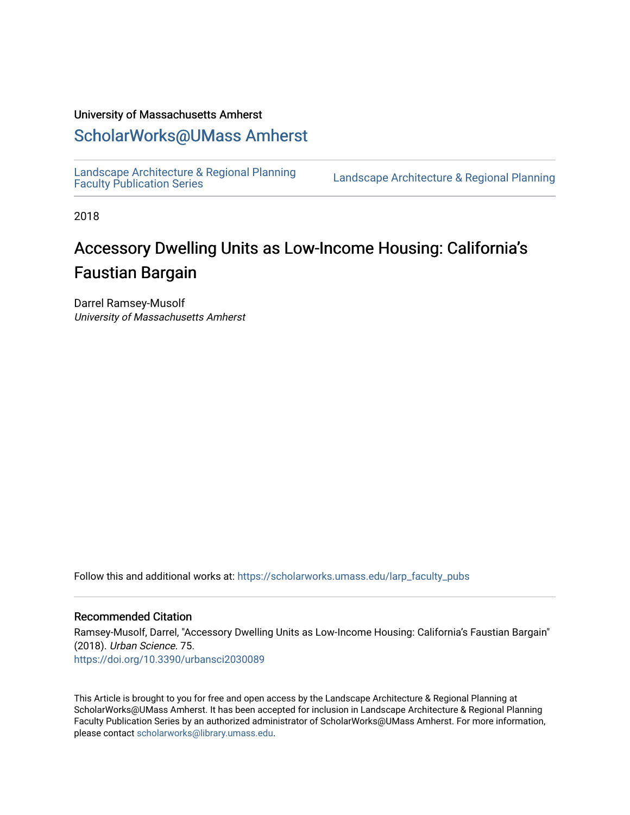# University of Massachusetts Amherst

# [ScholarWorks@UMass Amherst](https://scholarworks.umass.edu/)

[Landscape Architecture & Regional Planning](https://scholarworks.umass.edu/larp_faculty_pubs) 

Landscape Architecture & Regional Planning

2018

# Accessory Dwelling Units as Low-Income Housing: California's Faustian Bargain

Darrel Ramsey-Musolf University of Massachusetts Amherst

Follow this and additional works at: [https://scholarworks.umass.edu/larp\\_faculty\\_pubs](https://scholarworks.umass.edu/larp_faculty_pubs?utm_source=scholarworks.umass.edu%2Flarp_faculty_pubs%2F75&utm_medium=PDF&utm_campaign=PDFCoverPages) 

# Recommended Citation

Ramsey-Musolf, Darrel, "Accessory Dwelling Units as Low-Income Housing: California's Faustian Bargain" (2018). Urban Science. 75. <https://doi.org/10.3390/urbansci2030089>

This Article is brought to you for free and open access by the Landscape Architecture & Regional Planning at ScholarWorks@UMass Amherst. It has been accepted for inclusion in Landscape Architecture & Regional Planning Faculty Publication Series by an authorized administrator of ScholarWorks@UMass Amherst. For more information, please contact [scholarworks@library.umass.edu.](mailto:scholarworks@library.umass.edu)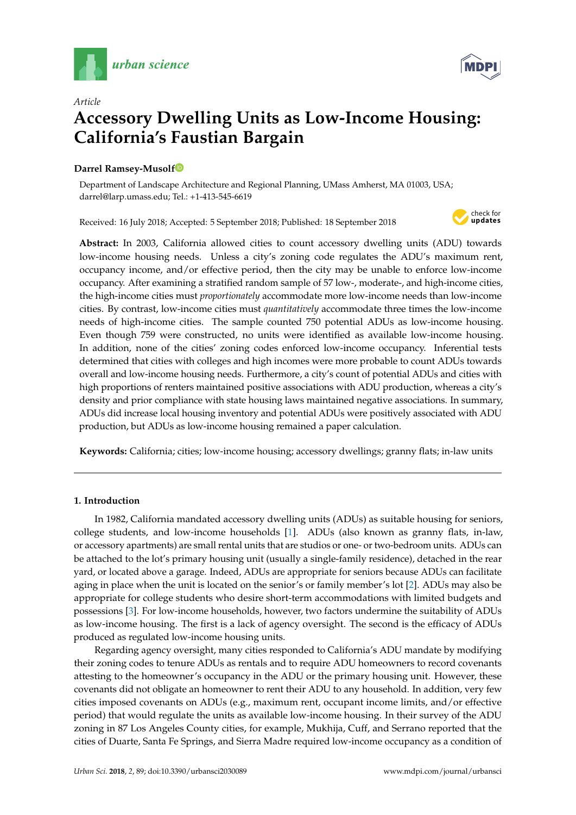

*Article*



# **Accessory Dwelling Units as Low-Income Housing: California's Faustian Bargain**

# **Darrel Ramsey-Musol[f](https://orcid.org/0000-0002-9490-3889)**

Department of Landscape Architecture and Regional Planning, UMass Amherst, MA 01003, USA; darrel@larp.umass.edu; Tel.: +1-413-545-6619

Received: 16 July 2018; Accepted: 5 September 2018; Published: 18 September 2018



**Abstract:** In 2003, California allowed cities to count accessory dwelling units (ADU) towards low-income housing needs. Unless a city's zoning code regulates the ADU's maximum rent, occupancy income, and/or effective period, then the city may be unable to enforce low-income occupancy. After examining a stratified random sample of 57 low-, moderate-, and high-income cities, the high-income cities must *proportionately* accommodate more low-income needs than low-income cities. By contrast, low-income cities must *quantitatively* accommodate three times the low-income needs of high-income cities. The sample counted 750 potential ADUs as low-income housing. Even though 759 were constructed, no units were identified as available low-income housing. In addition, none of the cities' zoning codes enforced low-income occupancy. Inferential tests determined that cities with colleges and high incomes were more probable to count ADUs towards overall and low-income housing needs. Furthermore, a city's count of potential ADUs and cities with high proportions of renters maintained positive associations with ADU production, whereas a city's density and prior compliance with state housing laws maintained negative associations. In summary, ADUs did increase local housing inventory and potential ADUs were positively associated with ADU production, but ADUs as low-income housing remained a paper calculation.

**Keywords:** California; cities; low-income housing; accessory dwellings; granny flats; in-law units

## **1. Introduction**

In 1982, California mandated accessory dwelling units (ADUs) as suitable housing for seniors, college students, and low-income households [\[1\]](#page-30-0). ADUs (also known as granny flats, in-law, or accessory apartments) are small rental units that are studios or one- or two-bedroom units. ADUs can be attached to the lot's primary housing unit (usually a single-family residence), detached in the rear yard, or located above a garage. Indeed, ADUs are appropriate for seniors because ADUs can facilitate aging in place when the unit is located on the senior's or family member's lot [\[2\]](#page-30-1). ADUs may also be appropriate for college students who desire short-term accommodations with limited budgets and possessions [\[3\]](#page-30-2). For low-income households, however, two factors undermine the suitability of ADUs as low-income housing. The first is a lack of agency oversight. The second is the efficacy of ADUs produced as regulated low-income housing units.

Regarding agency oversight, many cities responded to California's ADU mandate by modifying their zoning codes to tenure ADUs as rentals and to require ADU homeowners to record covenants attesting to the homeowner's occupancy in the ADU or the primary housing unit. However, these covenants did not obligate an homeowner to rent their ADU to any household. In addition, very few cities imposed covenants on ADUs (e.g., maximum rent, occupant income limits, and/or effective period) that would regulate the units as available low-income housing. In their survey of the ADU zoning in 87 Los Angeles County cities, for example, Mukhija, Cuff, and Serrano reported that the cities of Duarte, Santa Fe Springs, and Sierra Madre required low-income occupancy as a condition of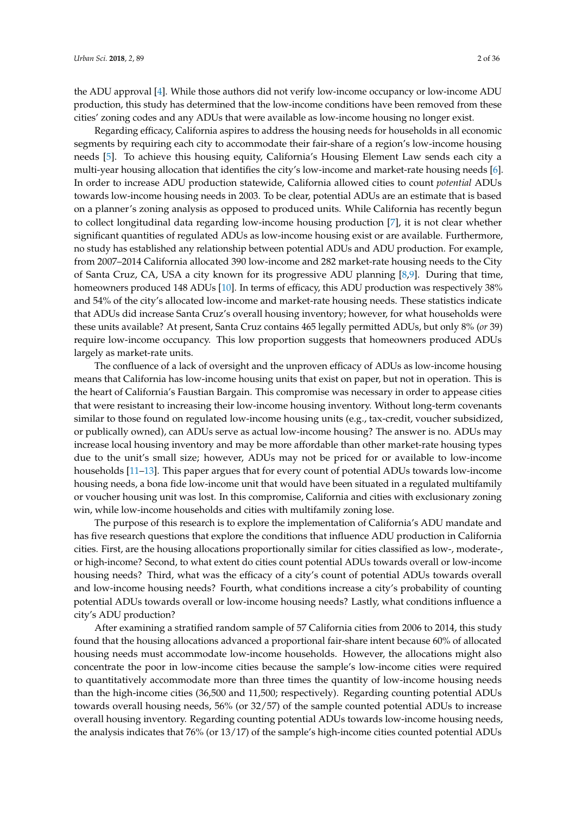the ADU approval [\[4\]](#page-30-3). While those authors did not verify low-income occupancy or low-income ADU production, this study has determined that the low-income conditions have been removed from these cities' zoning codes and any ADUs that were available as low-income housing no longer exist.

Regarding efficacy, California aspires to address the housing needs for households in all economic segments by requiring each city to accommodate their fair-share of a region's low-income housing needs [\[5\]](#page-30-4). To achieve this housing equity, California's Housing Element Law sends each city a multi-year housing allocation that identifies the city's low-income and market-rate housing needs [\[6\]](#page-30-5). In order to increase ADU production statewide, California allowed cities to count *potential* ADUs towards low-income housing needs in 2003. To be clear, potential ADUs are an estimate that is based on a planner's zoning analysis as opposed to produced units. While California has recently begun to collect longitudinal data regarding low-income housing production [\[7\]](#page-30-6), it is not clear whether significant quantities of regulated ADUs as low-income housing exist or are available. Furthermore, no study has established any relationship between potential ADUs and ADU production. For example, from 2007–2014 California allocated 390 low-income and 282 market-rate housing needs to the City of Santa Cruz, CA, USA a city known for its progressive ADU planning [\[8,](#page-30-7)[9\]](#page-30-8). During that time, homeowners produced 148 ADUs [\[10\]](#page-30-9). In terms of efficacy, this ADU production was respectively 38% and 54% of the city's allocated low-income and market-rate housing needs. These statistics indicate that ADUs did increase Santa Cruz's overall housing inventory; however, for what households were these units available? At present, Santa Cruz contains 465 legally permitted ADUs, but only 8% (*or* 39) require low-income occupancy. This low proportion suggests that homeowners produced ADUs largely as market-rate units.

The confluence of a lack of oversight and the unproven efficacy of ADUs as low-income housing means that California has low-income housing units that exist on paper, but not in operation. This is the heart of California's Faustian Bargain. This compromise was necessary in order to appease cities that were resistant to increasing their low-income housing inventory. Without long-term covenants similar to those found on regulated low-income housing units (e.g., tax-credit, voucher subsidized, or publically owned), can ADUs serve as actual low-income housing? The answer is no. ADUs may increase local housing inventory and may be more affordable than other market-rate housing types due to the unit's small size; however, ADUs may not be priced for or available to low-income households [\[11](#page-30-10)[–13\]](#page-30-11). This paper argues that for every count of potential ADUs towards low-income housing needs, a bona fide low-income unit that would have been situated in a regulated multifamily or voucher housing unit was lost. In this compromise, California and cities with exclusionary zoning win, while low-income households and cities with multifamily zoning lose.

The purpose of this research is to explore the implementation of California's ADU mandate and has five research questions that explore the conditions that influence ADU production in California cities. First, are the housing allocations proportionally similar for cities classified as low-, moderate-, or high-income? Second, to what extent do cities count potential ADUs towards overall or low-income housing needs? Third, what was the efficacy of a city's count of potential ADUs towards overall and low-income housing needs? Fourth, what conditions increase a city's probability of counting potential ADUs towards overall or low-income housing needs? Lastly, what conditions influence a city's ADU production?

After examining a stratified random sample of 57 California cities from 2006 to 2014, this study found that the housing allocations advanced a proportional fair-share intent because 60% of allocated housing needs must accommodate low-income households. However, the allocations might also concentrate the poor in low-income cities because the sample's low-income cities were required to quantitatively accommodate more than three times the quantity of low-income housing needs than the high-income cities (36,500 and 11,500; respectively). Regarding counting potential ADUs towards overall housing needs, 56% (or 32/57) of the sample counted potential ADUs to increase overall housing inventory. Regarding counting potential ADUs towards low-income housing needs, the analysis indicates that 76% (or 13/17) of the sample's high-income cities counted potential ADUs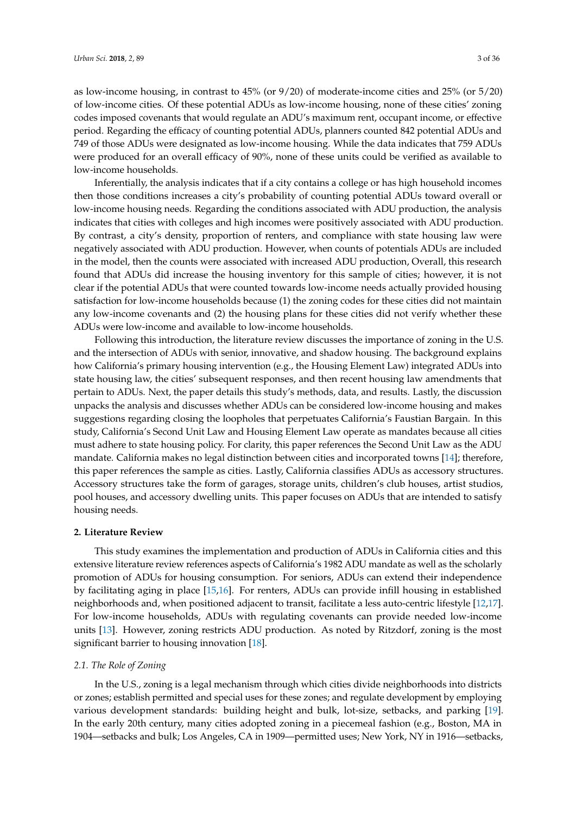as low-income housing, in contrast to 45% (or 9/20) of moderate-income cities and 25% (or 5/20) of low-income cities. Of these potential ADUs as low-income housing, none of these cities' zoning codes imposed covenants that would regulate an ADU's maximum rent, occupant income, or effective period. Regarding the efficacy of counting potential ADUs, planners counted 842 potential ADUs and 749 of those ADUs were designated as low-income housing. While the data indicates that 759 ADUs were produced for an overall efficacy of 90%, none of these units could be verified as available to low-income households.

Inferentially, the analysis indicates that if a city contains a college or has high household incomes then those conditions increases a city's probability of counting potential ADUs toward overall or low-income housing needs. Regarding the conditions associated with ADU production, the analysis indicates that cities with colleges and high incomes were positively associated with ADU production. By contrast, a city's density, proportion of renters, and compliance with state housing law were negatively associated with ADU production. However, when counts of potentials ADUs are included in the model, then the counts were associated with increased ADU production, Overall, this research found that ADUs did increase the housing inventory for this sample of cities; however, it is not clear if the potential ADUs that were counted towards low-income needs actually provided housing satisfaction for low-income households because (1) the zoning codes for these cities did not maintain any low-income covenants and (2) the housing plans for these cities did not verify whether these ADUs were low-income and available to low-income households.

Following this introduction, the literature review discusses the importance of zoning in the U.S. and the intersection of ADUs with senior, innovative, and shadow housing. The background explains how California's primary housing intervention (e.g., the Housing Element Law) integrated ADUs into state housing law, the cities' subsequent responses, and then recent housing law amendments that pertain to ADUs. Next, the paper details this study's methods, data, and results. Lastly, the discussion unpacks the analysis and discusses whether ADUs can be considered low-income housing and makes suggestions regarding closing the loopholes that perpetuates California's Faustian Bargain. In this study, California's Second Unit Law and Housing Element Law operate as mandates because all cities must adhere to state housing policy. For clarity, this paper references the Second Unit Law as the ADU mandate. California makes no legal distinction between cities and incorporated towns [\[14\]](#page-30-12); therefore, this paper references the sample as cities. Lastly, California classifies ADUs as accessory structures. Accessory structures take the form of garages, storage units, children's club houses, artist studios, pool houses, and accessory dwelling units. This paper focuses on ADUs that are intended to satisfy housing needs.

#### **2. Literature Review**

This study examines the implementation and production of ADUs in California cities and this extensive literature review references aspects of California's 1982 ADU mandate as well as the scholarly promotion of ADUs for housing consumption. For seniors, ADUs can extend their independence by facilitating aging in place [\[15,](#page-30-13)[16\]](#page-30-14). For renters, ADUs can provide infill housing in established neighborhoods and, when positioned adjacent to transit, facilitate a less auto-centric lifestyle [\[12,](#page-30-15)[17\]](#page-30-16). For low-income households, ADUs with regulating covenants can provide needed low-income units [\[13\]](#page-30-11). However, zoning restricts ADU production. As noted by Ritzdorf, zoning is the most significant barrier to housing innovation [\[18\]](#page-30-17).

#### *2.1. The Role of Zoning*

In the U.S., zoning is a legal mechanism through which cities divide neighborhoods into districts or zones; establish permitted and special uses for these zones; and regulate development by employing various development standards: building height and bulk, lot-size, setbacks, and parking [\[19\]](#page-30-18). In the early 20th century, many cities adopted zoning in a piecemeal fashion (e.g., Boston, MA in 1904—setbacks and bulk; Los Angeles, CA in 1909—permitted uses; New York, NY in 1916—setbacks,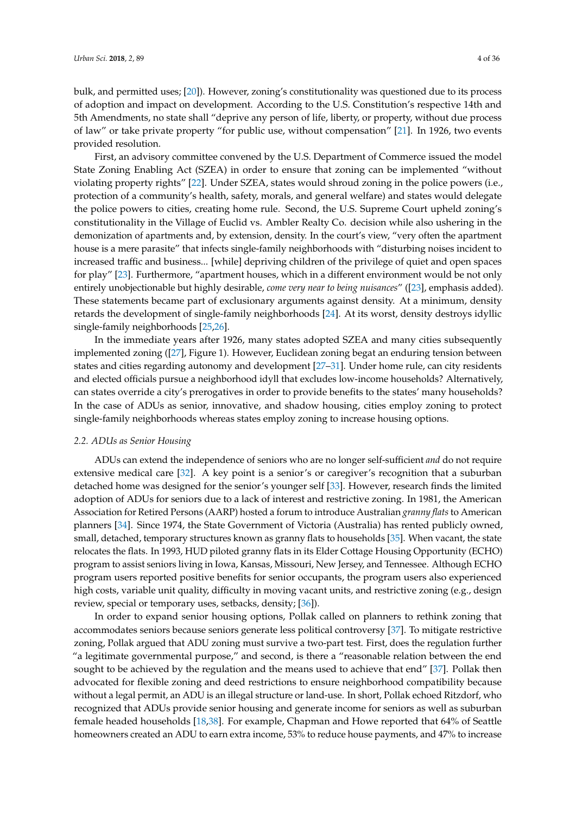bulk, and permitted uses; [\[20\]](#page-31-0)). However, zoning's constitutionality was questioned due to its process of adoption and impact on development. According to the U.S. Constitution's respective 14th and 5th Amendments, no state shall "deprive any person of life, liberty, or property, without due process of law" or take private property "for public use, without compensation" [\[21\]](#page-31-1). In 1926, two events provided resolution.

First, an advisory committee convened by the U.S. Department of Commerce issued the model State Zoning Enabling Act (SZEA) in order to ensure that zoning can be implemented "without violating property rights" [\[22\]](#page-31-2). Under SZEA, states would shroud zoning in the police powers (i.e., protection of a community's health, safety, morals, and general welfare) and states would delegate the police powers to cities, creating home rule. Second, the U.S. Supreme Court upheld zoning's constitutionality in the Village of Euclid vs. Ambler Realty Co. decision while also ushering in the demonization of apartments and, by extension, density. In the court's view, "very often the apartment house is a mere parasite" that infects single-family neighborhoods with "disturbing noises incident to increased traffic and business... [while] depriving children of the privilege of quiet and open spaces for play" [\[23\]](#page-31-3). Furthermore, "apartment houses, which in a different environment would be not only entirely unobjectionable but highly desirable, *come very near to being nuisances*" ([\[23\]](#page-31-3), emphasis added). These statements became part of exclusionary arguments against density. At a minimum, density retards the development of single-family neighborhoods [\[24\]](#page-31-4). At its worst, density destroys idyllic single-family neighborhoods [\[25,](#page-31-5)[26\]](#page-31-6).

In the immediate years after 1926, many states adopted SZEA and many cities subsequently implemented zoning ([\[27\]](#page-31-7), Figure 1). However, Euclidean zoning begat an enduring tension between states and cities regarding autonomy and development [\[27–](#page-31-7)[31\]](#page-31-8). Under home rule, can city residents and elected officials pursue a neighborhood idyll that excludes low-income households? Alternatively, can states override a city's prerogatives in order to provide benefits to the states' many households? In the case of ADUs as senior, innovative, and shadow housing, cities employ zoning to protect single-family neighborhoods whereas states employ zoning to increase housing options.

#### *2.2. ADUs as Senior Housing*

ADUs can extend the independence of seniors who are no longer self-sufficient *and* do not require extensive medical care [\[32\]](#page-31-9). A key point is a senior's or caregiver's recognition that a suburban detached home was designed for the senior's younger self [\[33\]](#page-31-10). However, research finds the limited adoption of ADUs for seniors due to a lack of interest and restrictive zoning. In 1981, the American Association for Retired Persons (AARP) hosted a forum to introduce Australian *granny flats* to American planners [\[34\]](#page-31-11). Since 1974, the State Government of Victoria (Australia) has rented publicly owned, small, detached, temporary structures known as granny flats to households [\[35\]](#page-31-12). When vacant, the state relocates the flats. In 1993, HUD piloted granny flats in its Elder Cottage Housing Opportunity (ECHO) program to assist seniors living in Iowa, Kansas, Missouri, New Jersey, and Tennessee. Although ECHO program users reported positive benefits for senior occupants, the program users also experienced high costs, variable unit quality, difficulty in moving vacant units, and restrictive zoning (e.g., design review, special or temporary uses, setbacks, density; [\[36\]](#page-31-13)).

In order to expand senior housing options, Pollak called on planners to rethink zoning that accommodates seniors because seniors generate less political controversy [\[37\]](#page-31-14). To mitigate restrictive zoning, Pollak argued that ADU zoning must survive a two-part test. First, does the regulation further "a legitimate governmental purpose," and second, is there a "reasonable relation between the end sought to be achieved by the regulation and the means used to achieve that end" [\[37\]](#page-31-14). Pollak then advocated for flexible zoning and deed restrictions to ensure neighborhood compatibility because without a legal permit, an ADU is an illegal structure or land-use. In short, Pollak echoed Ritzdorf, who recognized that ADUs provide senior housing and generate income for seniors as well as suburban female headed households [\[18,](#page-30-17)[38\]](#page-31-15). For example, Chapman and Howe reported that 64% of Seattle homeowners created an ADU to earn extra income, 53% to reduce house payments, and 47% to increase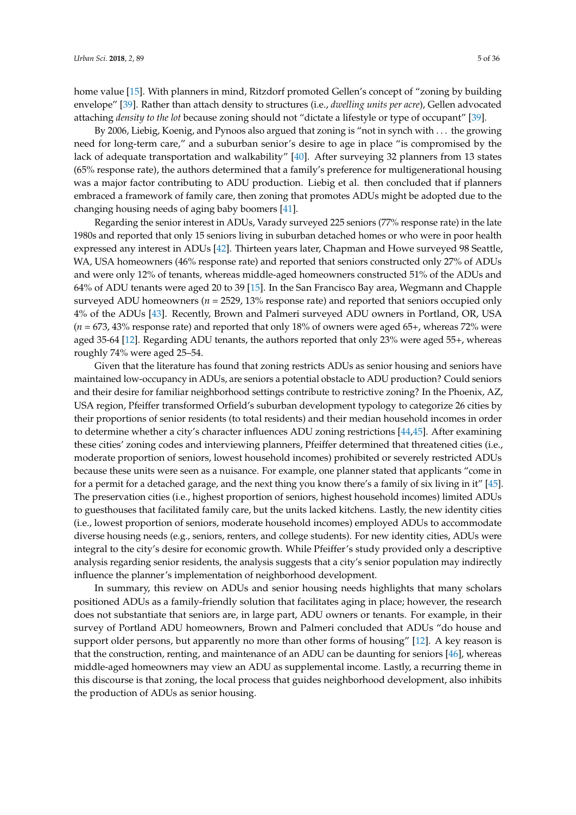home value [\[15\]](#page-30-13). With planners in mind, Ritzdorf promoted Gellen's concept of "zoning by building envelope" [\[39\]](#page-31-16). Rather than attach density to structures (i.e., *dwelling units per acre*), Gellen advocated attaching *density to the lot* because zoning should not "dictate a lifestyle or type of occupant" [\[39\]](#page-31-16).

By 2006, Liebig, Koenig, and Pynoos also argued that zoning is "not in synch with . . . the growing need for long-term care," and a suburban senior's desire to age in place "is compromised by the lack of adequate transportation and walkability" [\[40\]](#page-31-17). After surveying 32 planners from 13 states (65% response rate), the authors determined that a family's preference for multigenerational housing was a major factor contributing to ADU production. Liebig et al. then concluded that if planners embraced a framework of family care, then zoning that promotes ADUs might be adopted due to the changing housing needs of aging baby boomers [\[41\]](#page-31-18).

Regarding the senior interest in ADUs, Varady surveyed 225 seniors (77% response rate) in the late 1980s and reported that only 15 seniors living in suburban detached homes or who were in poor health expressed any interest in ADUs [\[42\]](#page-31-19). Thirteen years later, Chapman and Howe surveyed 98 Seattle, WA, USA homeowners (46% response rate) and reported that seniors constructed only 27% of ADUs and were only 12% of tenants, whereas middle-aged homeowners constructed 51% of the ADUs and 64% of ADU tenants were aged 20 to 39 [\[15\]](#page-30-13). In the San Francisco Bay area, Wegmann and Chapple surveyed ADU homeowners (*n* = 2529, 13% response rate) and reported that seniors occupied only 4% of the ADUs [\[43\]](#page-31-20). Recently, Brown and Palmeri surveyed ADU owners in Portland, OR, USA (*n* = 673, 43% response rate) and reported that only 18% of owners were aged 65+, whereas 72% were aged 35-64 [\[12\]](#page-30-15). Regarding ADU tenants, the authors reported that only 23% were aged 55+, whereas roughly 74% were aged 25–54.

Given that the literature has found that zoning restricts ADUs as senior housing and seniors have maintained low-occupancy in ADUs, are seniors a potential obstacle to ADU production? Could seniors and their desire for familiar neighborhood settings contribute to restrictive zoning? In the Phoenix, AZ, USA region, Pfeiffer transformed Orfield's suburban development typology to categorize 26 cities by their proportions of senior residents (to total residents) and their median household incomes in order to determine whether a city's character influences ADU zoning restrictions [\[44](#page-31-21)[,45\]](#page-31-22). After examining these cities' zoning codes and interviewing planners, Pfeiffer determined that threatened cities (i.e., moderate proportion of seniors, lowest household incomes) prohibited or severely restricted ADUs because these units were seen as a nuisance. For example, one planner stated that applicants "come in for a permit for a detached garage, and the next thing you know there's a family of six living in it" [\[45\]](#page-31-22). The preservation cities (i.e., highest proportion of seniors, highest household incomes) limited ADUs to guesthouses that facilitated family care, but the units lacked kitchens. Lastly, the new identity cities (i.e., lowest proportion of seniors, moderate household incomes) employed ADUs to accommodate diverse housing needs (e.g., seniors, renters, and college students). For new identity cities, ADUs were integral to the city's desire for economic growth. While Pfeiffer's study provided only a descriptive analysis regarding senior residents, the analysis suggests that a city's senior population may indirectly influence the planner's implementation of neighborhood development.

In summary, this review on ADUs and senior housing needs highlights that many scholars positioned ADUs as a family-friendly solution that facilitates aging in place; however, the research does not substantiate that seniors are, in large part, ADU owners or tenants. For example, in their survey of Portland ADU homeowners, Brown and Palmeri concluded that ADUs "do house and support older persons, but apparently no more than other forms of housing" [\[12\]](#page-30-15). A key reason is that the construction, renting, and maintenance of an ADU can be daunting for seniors [\[46\]](#page-31-23), whereas middle-aged homeowners may view an ADU as supplemental income. Lastly, a recurring theme in this discourse is that zoning, the local process that guides neighborhood development, also inhibits the production of ADUs as senior housing.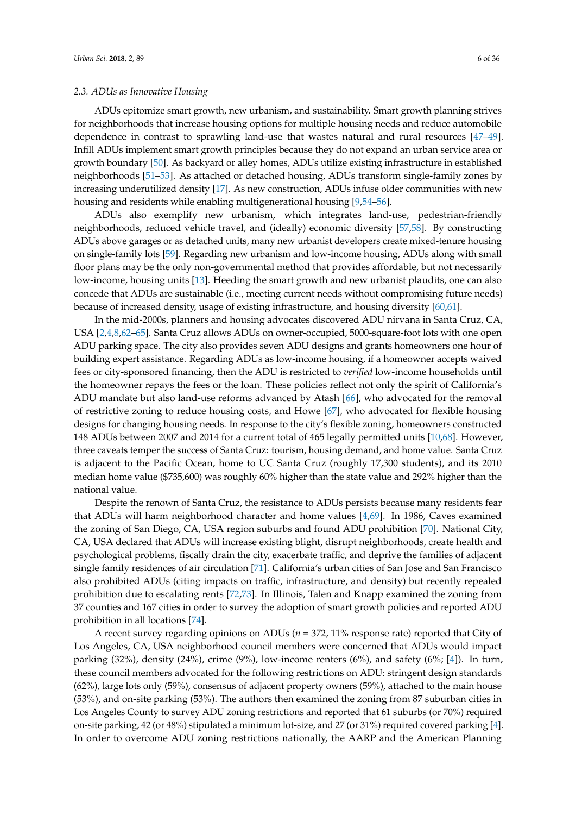#### *2.3. ADUs as Innovative Housing*

ADUs epitomize smart growth, new urbanism, and sustainability. Smart growth planning strives for neighborhoods that increase housing options for multiple housing needs and reduce automobile dependence in contrast to sprawling land-use that wastes natural and rural resources [\[47–](#page-31-24)[49\]](#page-32-0). Infill ADUs implement smart growth principles because they do not expand an urban service area or growth boundary [\[50\]](#page-32-1). As backyard or alley homes, ADUs utilize existing infrastructure in established neighborhoods [\[51](#page-32-2)[–53\]](#page-32-3). As attached or detached housing, ADUs transform single-family zones by increasing underutilized density [\[17\]](#page-30-16). As new construction, ADUs infuse older communities with new housing and residents while enabling multigenerational housing [\[9,](#page-30-8)[54–](#page-32-4)[56\]](#page-32-5).

ADUs also exemplify new urbanism, which integrates land-use, pedestrian-friendly neighborhoods, reduced vehicle travel, and (ideally) economic diversity [\[57,](#page-32-6)[58\]](#page-32-7). By constructing ADUs above garages or as detached units, many new urbanist developers create mixed-tenure housing on single-family lots [\[59\]](#page-32-8). Regarding new urbanism and low-income housing, ADUs along with small floor plans may be the only non-governmental method that provides affordable, but not necessarily low-income, housing units [\[13\]](#page-30-11). Heeding the smart growth and new urbanist plaudits, one can also concede that ADUs are sustainable (i.e., meeting current needs without compromising future needs) because of increased density, usage of existing infrastructure, and housing diversity [\[60](#page-32-9)[,61\]](#page-32-10).

In the mid-2000s, planners and housing advocates discovered ADU nirvana in Santa Cruz, CA, USA [\[2,](#page-30-1)[4](#page-30-3)[,8](#page-30-7)[,62](#page-32-11)[–65\]](#page-32-12). Santa Cruz allows ADUs on owner-occupied, 5000-square-foot lots with one open ADU parking space. The city also provides seven ADU designs and grants homeowners one hour of building expert assistance. Regarding ADUs as low-income housing, if a homeowner accepts waived fees or city-sponsored financing, then the ADU is restricted to *verified* low-income households until the homeowner repays the fees or the loan. These policies reflect not only the spirit of California's ADU mandate but also land-use reforms advanced by Atash [\[66\]](#page-32-13), who advocated for the removal of restrictive zoning to reduce housing costs, and Howe [\[67\]](#page-32-14), who advocated for flexible housing designs for changing housing needs. In response to the city's flexible zoning, homeowners constructed 148 ADUs between 2007 and 2014 for a current total of 465 legally permitted units [\[10,](#page-30-9)[68\]](#page-32-15). However, three caveats temper the success of Santa Cruz: tourism, housing demand, and home value. Santa Cruz is adjacent to the Pacific Ocean, home to UC Santa Cruz (roughly 17,300 students), and its 2010 median home value (\$735,600) was roughly 60% higher than the state value and 292% higher than the national value.

Despite the renown of Santa Cruz, the resistance to ADUs persists because many residents fear that ADUs will harm neighborhood character and home values [\[4](#page-30-3)[,69\]](#page-32-16). In 1986, Caves examined the zoning of San Diego, CA, USA region suburbs and found ADU prohibition [\[70\]](#page-32-17). National City, CA, USA declared that ADUs will increase existing blight, disrupt neighborhoods, create health and psychological problems, fiscally drain the city, exacerbate traffic, and deprive the families of adjacent single family residences of air circulation [\[71\]](#page-32-18). California's urban cities of San Jose and San Francisco also prohibited ADUs (citing impacts on traffic, infrastructure, and density) but recently repealed prohibition due to escalating rents [\[72](#page-32-19)[,73\]](#page-32-20). In Illinois, Talen and Knapp examined the zoning from 37 counties and 167 cities in order to survey the adoption of smart growth policies and reported ADU prohibition in all locations [\[74\]](#page-32-21).

A recent survey regarding opinions on ADUs (*n* = 372, 11% response rate) reported that City of Los Angeles, CA, USA neighborhood council members were concerned that ADUs would impact parking (32%), density (24%), crime (9%), low-income renters (6%), and safety (6%; [\[4\]](#page-30-3)). In turn, these council members advocated for the following restrictions on ADU: stringent design standards (62%), large lots only (59%), consensus of adjacent property owners (59%), attached to the main house (53%), and on-site parking (53%). The authors then examined the zoning from 87 suburban cities in Los Angeles County to survey ADU zoning restrictions and reported that 61 suburbs (or 70%) required on-site parking, 42 (or 48%) stipulated a minimum lot-size, and 27 (or 31%) required covered parking [\[4\]](#page-30-3). In order to overcome ADU zoning restrictions nationally, the AARP and the American Planning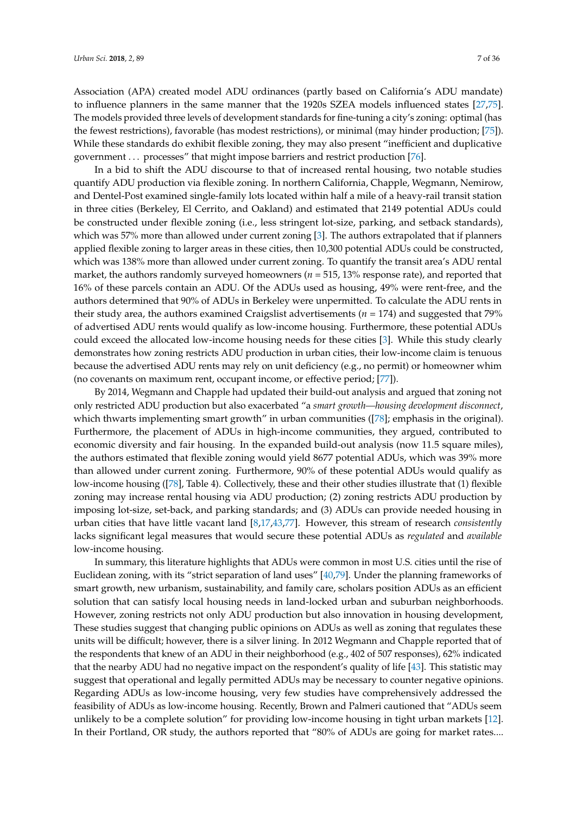Association (APA) created model ADU ordinances (partly based on California's ADU mandate) to influence planners in the same manner that the 1920s SZEA models influenced states [\[27,](#page-31-7)[75\]](#page-32-22). The models provided three levels of development standards for fine-tuning a city's zoning: optimal (has the fewest restrictions), favorable (has modest restrictions), or minimal (may hinder production; [\[75\]](#page-32-22)). While these standards do exhibit flexible zoning, they may also present "inefficient and duplicative government . . . processes" that might impose barriers and restrict production [\[76\]](#page-32-23).

In a bid to shift the ADU discourse to that of increased rental housing, two notable studies quantify ADU production via flexible zoning. In northern California, Chapple, Wegmann, Nemirow, and Dentel-Post examined single-family lots located within half a mile of a heavy-rail transit station in three cities (Berkeley, El Cerrito, and Oakland) and estimated that 2149 potential ADUs could be constructed under flexible zoning (i.e., less stringent lot-size, parking, and setback standards), which was 57% more than allowed under current zoning [\[3\]](#page-30-2). The authors extrapolated that if planners applied flexible zoning to larger areas in these cities, then 10,300 potential ADUs could be constructed, which was 138% more than allowed under current zoning. To quantify the transit area's ADU rental market, the authors randomly surveyed homeowners ( $n = 515$ , 13% response rate), and reported that 16% of these parcels contain an ADU. Of the ADUs used as housing, 49% were rent-free, and the authors determined that 90% of ADUs in Berkeley were unpermitted. To calculate the ADU rents in their study area, the authors examined Craigslist advertisements ( $n = 174$ ) and suggested that 79% of advertised ADU rents would qualify as low-income housing. Furthermore, these potential ADUs could exceed the allocated low-income housing needs for these cities [\[3\]](#page-30-2). While this study clearly demonstrates how zoning restricts ADU production in urban cities, their low-income claim is tenuous because the advertised ADU rents may rely on unit deficiency (e.g., no permit) or homeowner whim (no covenants on maximum rent, occupant income, or effective period; [\[77\]](#page-32-24)).

By 2014, Wegmann and Chapple had updated their build-out analysis and argued that zoning not only restricted ADU production but also exacerbated "a *smart growth—housing development disconnect*, which thwarts implementing smart growth" in urban communities ([\[78\]](#page-33-0); emphasis in the original). Furthermore, the placement of ADUs in high-income communities, they argued, contributed to economic diversity and fair housing. In the expanded build-out analysis (now 11.5 square miles), the authors estimated that flexible zoning would yield 8677 potential ADUs, which was 39% more than allowed under current zoning. Furthermore, 90% of these potential ADUs would qualify as low-income housing ([\[78\]](#page-33-0), Table 4). Collectively, these and their other studies illustrate that (1) flexible zoning may increase rental housing via ADU production; (2) zoning restricts ADU production by imposing lot-size, set-back, and parking standards; and (3) ADUs can provide needed housing in urban cities that have little vacant land [\[8,](#page-30-7)[17,](#page-30-16)[43,](#page-31-20)[77\]](#page-32-24). However, this stream of research *consistently* lacks significant legal measures that would secure these potential ADUs as *regulated* and *available* low-income housing.

In summary, this literature highlights that ADUs were common in most U.S. cities until the rise of Euclidean zoning, with its "strict separation of land uses" [\[40](#page-31-17)[,79\]](#page-33-1). Under the planning frameworks of smart growth, new urbanism, sustainability, and family care, scholars position ADUs as an efficient solution that can satisfy local housing needs in land-locked urban and suburban neighborhoods. However, zoning restricts not only ADU production but also innovation in housing development, These studies suggest that changing public opinions on ADUs as well as zoning that regulates these units will be difficult; however, there is a silver lining. In 2012 Wegmann and Chapple reported that of the respondents that knew of an ADU in their neighborhood (e.g., 402 of 507 responses), 62% indicated that the nearby ADU had no negative impact on the respondent's quality of life [\[43\]](#page-31-20). This statistic may suggest that operational and legally permitted ADUs may be necessary to counter negative opinions. Regarding ADUs as low-income housing, very few studies have comprehensively addressed the feasibility of ADUs as low-income housing. Recently, Brown and Palmeri cautioned that "ADUs seem unlikely to be a complete solution" for providing low-income housing in tight urban markets [\[12\]](#page-30-15). In their Portland, OR study, the authors reported that "80% of ADUs are going for market rates....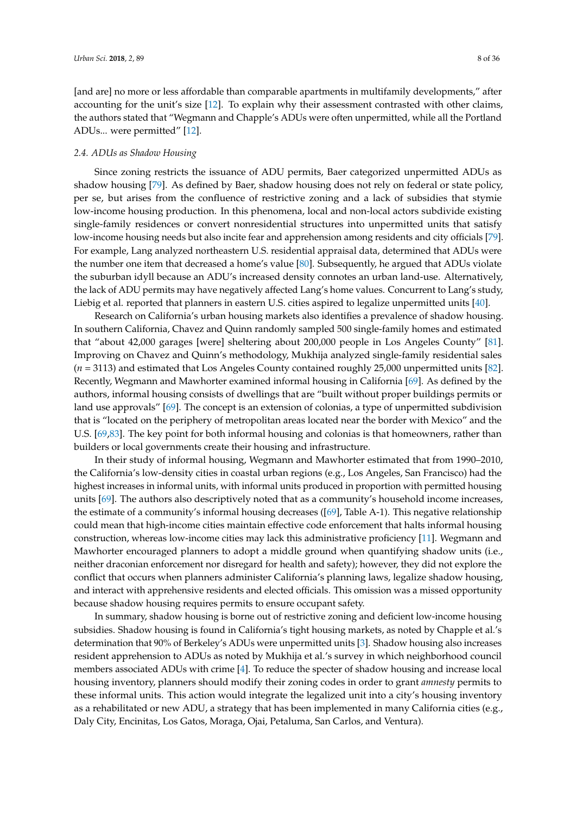[and are] no more or less affordable than comparable apartments in multifamily developments," after accounting for the unit's size [\[12\]](#page-30-15). To explain why their assessment contrasted with other claims, the authors stated that "Wegmann and Chapple's ADUs were often unpermitted, while all the Portland ADUs... were permitted" [\[12\]](#page-30-15).

#### *2.4. ADUs as Shadow Housing*

Since zoning restricts the issuance of ADU permits, Baer categorized unpermitted ADUs as shadow housing [\[79\]](#page-33-1). As defined by Baer, shadow housing does not rely on federal or state policy, per se, but arises from the confluence of restrictive zoning and a lack of subsidies that stymie low-income housing production. In this phenomena, local and non-local actors subdivide existing single-family residences or convert nonresidential structures into unpermitted units that satisfy low-income housing needs but also incite fear and apprehension among residents and city officials [\[79\]](#page-33-1). For example, Lang analyzed northeastern U.S. residential appraisal data, determined that ADUs were the number one item that decreased a home's value [\[80\]](#page-33-2). Subsequently, he argued that ADUs violate the suburban idyll because an ADU's increased density connotes an urban land-use. Alternatively, the lack of ADU permits may have negatively affected Lang's home values. Concurrent to Lang's study, Liebig et al. reported that planners in eastern U.S. cities aspired to legalize unpermitted units [\[40\]](#page-31-17).

Research on California's urban housing markets also identifies a prevalence of shadow housing. In southern California, Chavez and Quinn randomly sampled 500 single-family homes and estimated that "about 42,000 garages [were] sheltering about 200,000 people in Los Angeles County" [\[81\]](#page-33-3). Improving on Chavez and Quinn's methodology, Mukhija analyzed single-family residential sales (*n* = 3113) and estimated that Los Angeles County contained roughly 25,000 unpermitted units [\[82\]](#page-33-4). Recently, Wegmann and Mawhorter examined informal housing in California [\[69\]](#page-32-16). As defined by the authors, informal housing consists of dwellings that are "built without proper buildings permits or land use approvals" [\[69\]](#page-32-16). The concept is an extension of colonias, a type of unpermitted subdivision that is "located on the periphery of metropolitan areas located near the border with Mexico" and the U.S. [\[69](#page-32-16)[,83\]](#page-33-5). The key point for both informal housing and colonias is that homeowners, rather than builders or local governments create their housing and infrastructure.

In their study of informal housing, Wegmann and Mawhorter estimated that from 1990–2010, the California's low-density cities in coastal urban regions (e.g., Los Angeles, San Francisco) had the highest increases in informal units, with informal units produced in proportion with permitted housing units [\[69\]](#page-32-16). The authors also descriptively noted that as a community's household income increases, the estimate of a community's informal housing decreases ([\[69\]](#page-32-16), Table A-1). This negative relationship could mean that high-income cities maintain effective code enforcement that halts informal housing construction, whereas low-income cities may lack this administrative proficiency [\[11\]](#page-30-10). Wegmann and Mawhorter encouraged planners to adopt a middle ground when quantifying shadow units (i.e., neither draconian enforcement nor disregard for health and safety); however, they did not explore the conflict that occurs when planners administer California's planning laws, legalize shadow housing, and interact with apprehensive residents and elected officials. This omission was a missed opportunity because shadow housing requires permits to ensure occupant safety.

In summary, shadow housing is borne out of restrictive zoning and deficient low-income housing subsidies. Shadow housing is found in California's tight housing markets, as noted by Chapple et al.'s determination that 90% of Berkeley's ADUs were unpermitted units [\[3\]](#page-30-2). Shadow housing also increases resident apprehension to ADUs as noted by Mukhija et al.'s survey in which neighborhood council members associated ADUs with crime [\[4\]](#page-30-3). To reduce the specter of shadow housing and increase local housing inventory, planners should modify their zoning codes in order to grant *amnesty* permits to these informal units. This action would integrate the legalized unit into a city's housing inventory as a rehabilitated or new ADU, a strategy that has been implemented in many California cities (e.g., Daly City, Encinitas, Los Gatos, Moraga, Ojai, Petaluma, San Carlos, and Ventura).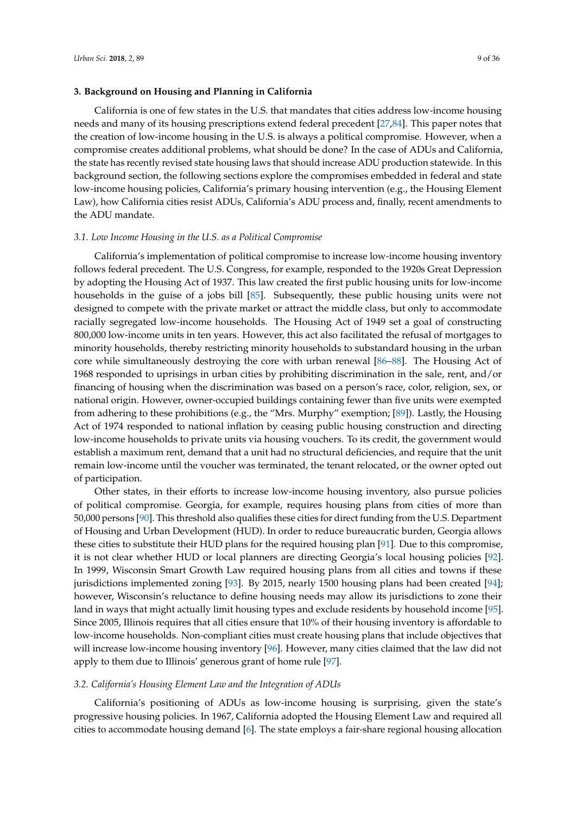#### **3. Background on Housing and Planning in California**

California is one of few states in the U.S. that mandates that cities address low-income housing needs and many of its housing prescriptions extend federal precedent [\[27,](#page-31-7)[84\]](#page-33-6). This paper notes that the creation of low-income housing in the U.S. is always a political compromise. However, when a compromise creates additional problems, what should be done? In the case of ADUs and California, the state has recently revised state housing laws that should increase ADU production statewide. In this background section, the following sections explore the compromises embedded in federal and state low-income housing policies, California's primary housing intervention (e.g., the Housing Element Law), how California cities resist ADUs, California's ADU process and, finally, recent amendments to the ADU mandate.

#### *3.1. Low Income Housing in the U.S. as a Political Compromise*

California's implementation of political compromise to increase low-income housing inventory follows federal precedent. The U.S. Congress, for example, responded to the 1920s Great Depression by adopting the Housing Act of 1937. This law created the first public housing units for low-income households in the guise of a jobs bill [\[85\]](#page-33-7). Subsequently, these public housing units were not designed to compete with the private market or attract the middle class, but only to accommodate racially segregated low-income households. The Housing Act of 1949 set a goal of constructing 800,000 low-income units in ten years. However, this act also facilitated the refusal of mortgages to minority households, thereby restricting minority households to substandard housing in the urban core while simultaneously destroying the core with urban renewal [\[86–](#page-33-8)[88\]](#page-33-9). The Housing Act of 1968 responded to uprisings in urban cities by prohibiting discrimination in the sale, rent, and/or financing of housing when the discrimination was based on a person's race, color, religion, sex, or national origin. However, owner-occupied buildings containing fewer than five units were exempted from adhering to these prohibitions (e.g., the "Mrs. Murphy" exemption; [\[89\]](#page-33-10)). Lastly, the Housing Act of 1974 responded to national inflation by ceasing public housing construction and directing low-income households to private units via housing vouchers. To its credit, the government would establish a maximum rent, demand that a unit had no structural deficiencies, and require that the unit remain low-income until the voucher was terminated, the tenant relocated, or the owner opted out of participation.

Other states, in their efforts to increase low-income housing inventory, also pursue policies of political compromise. Georgia, for example, requires housing plans from cities of more than 50,000 persons [\[90\]](#page-33-11). This threshold also qualifies these cities for direct funding from the U.S. Department of Housing and Urban Development (HUD). In order to reduce bureaucratic burden, Georgia allows these cities to substitute their HUD plans for the required housing plan [\[91\]](#page-33-12). Due to this compromise, it is not clear whether HUD or local planners are directing Georgia's local housing policies [\[92\]](#page-33-13). In 1999, Wisconsin Smart Growth Law required housing plans from all cities and towns if these jurisdictions implemented zoning [\[93\]](#page-33-14). By 2015, nearly 1500 housing plans had been created [\[94\]](#page-33-15); however, Wisconsin's reluctance to define housing needs may allow its jurisdictions to zone their land in ways that might actually limit housing types and exclude residents by household income [\[95\]](#page-33-16). Since 2005, Illinois requires that all cities ensure that 10% of their housing inventory is affordable to low-income households. Non-compliant cities must create housing plans that include objectives that will increase low-income housing inventory [\[96\]](#page-33-17). However, many cities claimed that the law did not apply to them due to Illinois' generous grant of home rule [\[97\]](#page-33-18).

#### *3.2. California's Housing Element Law and the Integration of ADUs*

California's positioning of ADUs as low-income housing is surprising, given the state's progressive housing policies. In 1967, California adopted the Housing Element Law and required all cities to accommodate housing demand [\[6\]](#page-30-5). The state employs a fair-share regional housing allocation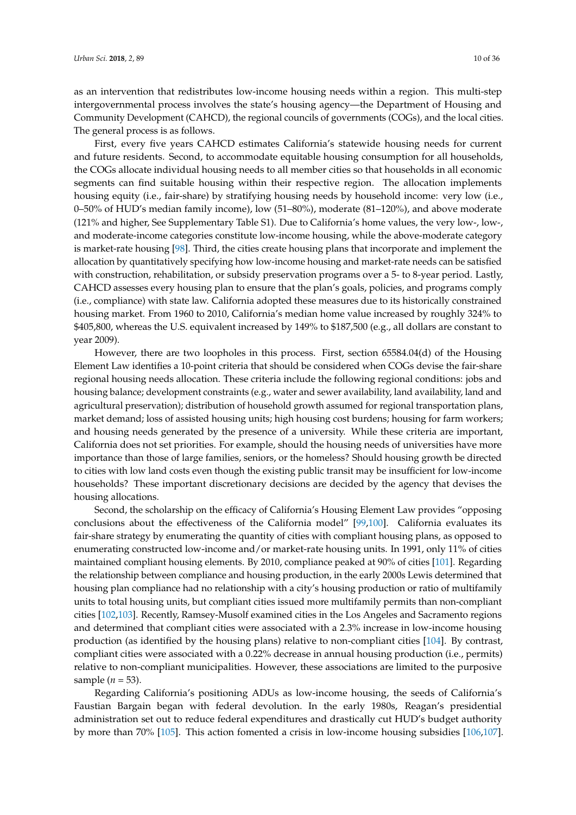as an intervention that redistributes low-income housing needs within a region. This multi-step intergovernmental process involves the state's housing agency—the Department of Housing and Community Development (CAHCD), the regional councils of governments (COGs), and the local cities. The general process is as follows.

First, every five years CAHCD estimates California's statewide housing needs for current and future residents. Second, to accommodate equitable housing consumption for all households, the COGs allocate individual housing needs to all member cities so that households in all economic segments can find suitable housing within their respective region. The allocation implements housing equity (i.e., fair-share) by stratifying housing needs by household income: very low (i.e., 0–50% of HUD's median family income), low (51–80%), moderate (81–120%), and above moderate (121% and higher, See Supplementary Table S1). Due to California's home values, the very low-, low-, and moderate-income categories constitute low-income housing, while the above-moderate category is market-rate housing [\[98\]](#page-33-19). Third, the cities create housing plans that incorporate and implement the allocation by quantitatively specifying how low-income housing and market-rate needs can be satisfied with construction, rehabilitation, or subsidy preservation programs over a 5- to 8-year period. Lastly, CAHCD assesses every housing plan to ensure that the plan's goals, policies, and programs comply (i.e., compliance) with state law. California adopted these measures due to its historically constrained housing market. From 1960 to 2010, California's median home value increased by roughly 324% to \$405,800, whereas the U.S. equivalent increased by 149% to \$187,500 (e.g., all dollars are constant to year 2009).

However, there are two loopholes in this process. First, section 65584.04(d) of the Housing Element Law identifies a 10-point criteria that should be considered when COGs devise the fair-share regional housing needs allocation. These criteria include the following regional conditions: jobs and housing balance; development constraints (e.g., water and sewer availability, land availability, land and agricultural preservation); distribution of household growth assumed for regional transportation plans, market demand; loss of assisted housing units; high housing cost burdens; housing for farm workers; and housing needs generated by the presence of a university. While these criteria are important, California does not set priorities. For example, should the housing needs of universities have more importance than those of large families, seniors, or the homeless? Should housing growth be directed to cities with low land costs even though the existing public transit may be insufficient for low-income households? These important discretionary decisions are decided by the agency that devises the housing allocations.

Second, the scholarship on the efficacy of California's Housing Element Law provides "opposing conclusions about the effectiveness of the California model" [\[99](#page-33-20)[,100\]](#page-33-21). California evaluates its fair-share strategy by enumerating the quantity of cities with compliant housing plans, as opposed to enumerating constructed low-income and/or market-rate housing units. In 1991, only 11% of cities maintained compliant housing elements. By 2010, compliance peaked at 90% of cities [\[101\]](#page-33-22). Regarding the relationship between compliance and housing production, in the early 2000s Lewis determined that housing plan compliance had no relationship with a city's housing production or ratio of multifamily units to total housing units, but compliant cities issued more multifamily permits than non-compliant cities [\[102,](#page-33-23)[103\]](#page-33-24). Recently, Ramsey-Musolf examined cities in the Los Angeles and Sacramento regions and determined that compliant cities were associated with a 2.3% increase in low-income housing production (as identified by the housing plans) relative to non-compliant cities [\[104\]](#page-34-0). By contrast, compliant cities were associated with a 0.22% decrease in annual housing production (i.e., permits) relative to non-compliant municipalities. However, these associations are limited to the purposive sample  $(n = 53)$ .

Regarding California's positioning ADUs as low-income housing, the seeds of California's Faustian Bargain began with federal devolution. In the early 1980s, Reagan's presidential administration set out to reduce federal expenditures and drastically cut HUD's budget authority by more than 70% [\[105\]](#page-34-1). This action fomented a crisis in low-income housing subsidies [\[106,](#page-34-2)[107\]](#page-34-3).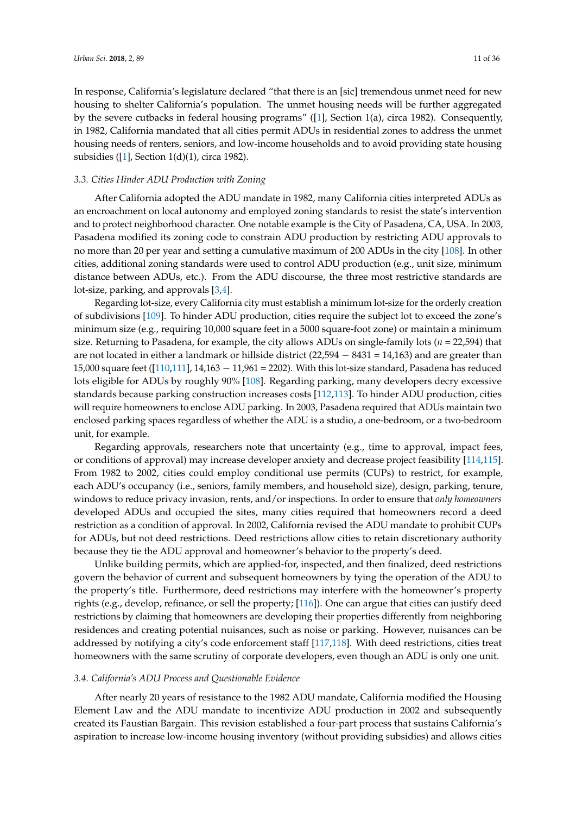In response, California's legislature declared "that there is an [sic] tremendous unmet need for new housing to shelter California's population. The unmet housing needs will be further aggregated by the severe cutbacks in federal housing programs" ([\[1\]](#page-30-0), Section 1(a), circa 1982). Consequently, in 1982, California mandated that all cities permit ADUs in residential zones to address the unmet housing needs of renters, seniors, and low-income households and to avoid providing state housing subsidies ([\[1\]](#page-30-0), Section 1(d)(1), circa 1982).

#### *3.3. Cities Hinder ADU Production with Zoning*

After California adopted the ADU mandate in 1982, many California cities interpreted ADUs as an encroachment on local autonomy and employed zoning standards to resist the state's intervention and to protect neighborhood character. One notable example is the City of Pasadena, CA, USA. In 2003, Pasadena modified its zoning code to constrain ADU production by restricting ADU approvals to no more than 20 per year and setting a cumulative maximum of 200 ADUs in the city [\[108\]](#page-34-4). In other cities, additional zoning standards were used to control ADU production (e.g., unit size, minimum distance between ADUs, etc.). From the ADU discourse, the three most restrictive standards are lot-size, parking, and approvals [\[3](#page-30-2)[,4\]](#page-30-3).

Regarding lot-size, every California city must establish a minimum lot-size for the orderly creation of subdivisions [\[109\]](#page-34-5). To hinder ADU production, cities require the subject lot to exceed the zone's minimum size (e.g., requiring 10,000 square feet in a 5000 square-foot zone) or maintain a minimum size. Returning to Pasadena, for example, the city allows ADUs on single-family lots (*n* = 22,594) that are not located in either a landmark or hillside district (22,594 − 8431 = 14,163) and are greater than 15,000 square feet ([\[110](#page-34-6)[,111\]](#page-34-7), 14,163 − 11,961 = 2202). With this lot-size standard, Pasadena has reduced lots eligible for ADUs by roughly 90% [\[108\]](#page-34-4). Regarding parking, many developers decry excessive standards because parking construction increases costs [\[112,](#page-34-8)[113\]](#page-34-9). To hinder ADU production, cities will require homeowners to enclose ADU parking. In 2003, Pasadena required that ADUs maintain two enclosed parking spaces regardless of whether the ADU is a studio, a one-bedroom, or a two-bedroom unit, for example.

Regarding approvals, researchers note that uncertainty (e.g., time to approval, impact fees, or conditions of approval) may increase developer anxiety and decrease project feasibility [\[114,](#page-34-10)[115\]](#page-34-11). From 1982 to 2002, cities could employ conditional use permits (CUPs) to restrict, for example, each ADU's occupancy (i.e., seniors, family members, and household size), design, parking, tenure, windows to reduce privacy invasion, rents, and/or inspections. In order to ensure that *only homeowners* developed ADUs and occupied the sites, many cities required that homeowners record a deed restriction as a condition of approval. In 2002, California revised the ADU mandate to prohibit CUPs for ADUs, but not deed restrictions. Deed restrictions allow cities to retain discretionary authority because they tie the ADU approval and homeowner's behavior to the property's deed.

Unlike building permits, which are applied-for, inspected, and then finalized, deed restrictions govern the behavior of current and subsequent homeowners by tying the operation of the ADU to the property's title. Furthermore, deed restrictions may interfere with the homeowner's property rights (e.g., develop, refinance, or sell the property; [\[116\]](#page-34-12)). One can argue that cities can justify deed restrictions by claiming that homeowners are developing their properties differently from neighboring residences and creating potential nuisances, such as noise or parking. However, nuisances can be addressed by notifying a city's code enforcement staff [\[117,](#page-34-13)[118\]](#page-34-14). With deed restrictions, cities treat homeowners with the same scrutiny of corporate developers, even though an ADU is only one unit.

#### *3.4. California's ADU Process and Questionable Evidence*

After nearly 20 years of resistance to the 1982 ADU mandate, California modified the Housing Element Law and the ADU mandate to incentivize ADU production in 2002 and subsequently created its Faustian Bargain. This revision established a four-part process that sustains California's aspiration to increase low-income housing inventory (without providing subsidies) and allows cities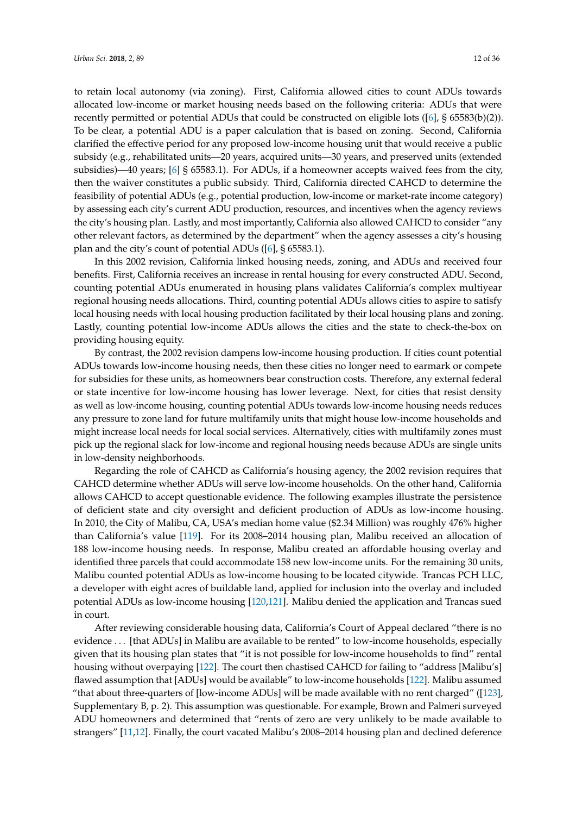to retain local autonomy (via zoning). First, California allowed cities to count ADUs towards allocated low-income or market housing needs based on the following criteria: ADUs that were recently permitted or potential ADUs that could be constructed on eligible lots ([\[6\]](#page-30-5), § 65583(b)(2)). To be clear, a potential ADU is a paper calculation that is based on zoning. Second, California clarified the effective period for any proposed low-income housing unit that would receive a public subsidy (e.g., rehabilitated units—20 years, acquired units—30 years, and preserved units (extended subsidies)—40 years; [\[6\]](#page-30-5) § 65583.1). For ADUs, if a homeowner accepts waived fees from the city, then the waiver constitutes a public subsidy. Third, California directed CAHCD to determine the feasibility of potential ADUs (e.g., potential production, low-income or market-rate income category) by assessing each city's current ADU production, resources, and incentives when the agency reviews the city's housing plan. Lastly, and most importantly, California also allowed CAHCD to consider "any other relevant factors, as determined by the department" when the agency assesses a city's housing plan and the city's count of potential ADUs ([\[6\]](#page-30-5), § 65583.1).

In this 2002 revision, California linked housing needs, zoning, and ADUs and received four benefits. First, California receives an increase in rental housing for every constructed ADU. Second, counting potential ADUs enumerated in housing plans validates California's complex multiyear regional housing needs allocations. Third, counting potential ADUs allows cities to aspire to satisfy local housing needs with local housing production facilitated by their local housing plans and zoning. Lastly, counting potential low-income ADUs allows the cities and the state to check-the-box on providing housing equity.

By contrast, the 2002 revision dampens low-income housing production. If cities count potential ADUs towards low-income housing needs, then these cities no longer need to earmark or compete for subsidies for these units, as homeowners bear construction costs. Therefore, any external federal or state incentive for low-income housing has lower leverage. Next, for cities that resist density as well as low-income housing, counting potential ADUs towards low-income housing needs reduces any pressure to zone land for future multifamily units that might house low-income households and might increase local needs for local social services. Alternatively, cities with multifamily zones must pick up the regional slack for low-income and regional housing needs because ADUs are single units in low-density neighborhoods.

Regarding the role of CAHCD as California's housing agency, the 2002 revision requires that CAHCD determine whether ADUs will serve low-income households. On the other hand, California allows CAHCD to accept questionable evidence. The following examples illustrate the persistence of deficient state and city oversight and deficient production of ADUs as low-income housing. In 2010, the City of Malibu, CA, USA's median home value (\$2.34 Million) was roughly 476% higher than California's value [\[119\]](#page-34-15). For its 2008–2014 housing plan, Malibu received an allocation of 188 low-income housing needs. In response, Malibu created an affordable housing overlay and identified three parcels that could accommodate 158 new low-income units. For the remaining 30 units, Malibu counted potential ADUs as low-income housing to be located citywide. Trancas PCH LLC, a developer with eight acres of buildable land, applied for inclusion into the overlay and included potential ADUs as low-income housing [\[120](#page-34-16)[,121\]](#page-34-17). Malibu denied the application and Trancas sued in court.

After reviewing considerable housing data, California's Court of Appeal declared "there is no evidence . . . [that ADUs] in Malibu are available to be rented" to low-income households, especially given that its housing plan states that "it is not possible for low-income households to find" rental housing without overpaying [\[122\]](#page-34-18). The court then chastised CAHCD for failing to "address [Malibu's] flawed assumption that [ADUs] would be available" to low-income households [\[122\]](#page-34-18). Malibu assumed "that about three-quarters of [low-income ADUs] will be made available with no rent charged" ([\[123\]](#page-34-19), Supplementary B, p. 2). This assumption was questionable. For example, Brown and Palmeri surveyed ADU homeowners and determined that "rents of zero are very unlikely to be made available to strangers" [\[11](#page-30-10)[,12\]](#page-30-15). Finally, the court vacated Malibu's 2008–2014 housing plan and declined deference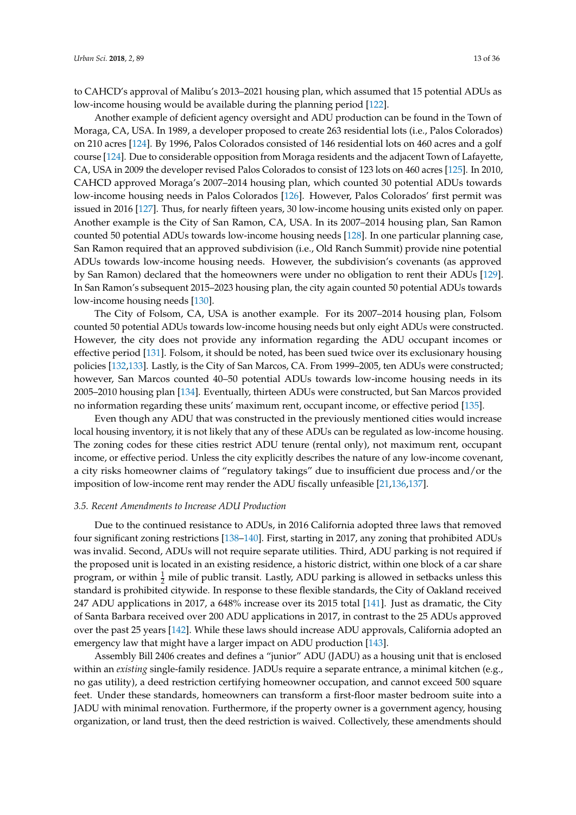to CAHCD's approval of Malibu's 2013–2021 housing plan, which assumed that 15 potential ADUs as low-income housing would be available during the planning period [\[122\]](#page-34-18).

Another example of deficient agency oversight and ADU production can be found in the Town of Moraga, CA, USA. In 1989, a developer proposed to create 263 residential lots (i.e., Palos Colorados) on 210 acres [\[124\]](#page-34-20). By 1996, Palos Colorados consisted of 146 residential lots on 460 acres and a golf course [\[124\]](#page-34-20). Due to considerable opposition from Moraga residents and the adjacent Town of Lafayette, CA, USA in 2009 the developer revised Palos Colorados to consist of 123 lots on 460 acres [\[125\]](#page-34-21). In 2010, CAHCD approved Moraga's 2007–2014 housing plan, which counted 30 potential ADUs towards low-income housing needs in Palos Colorados [\[126\]](#page-34-22). However, Palos Colorados' first permit was issued in 2016 [\[127\]](#page-34-23). Thus, for nearly fifteen years, 30 low-income housing units existed only on paper. Another example is the City of San Ramon, CA, USA. In its 2007–2014 housing plan, San Ramon counted 50 potential ADUs towards low-income housing needs [\[128\]](#page-34-24). In one particular planning case, San Ramon required that an approved subdivision (i.e., Old Ranch Summit) provide nine potential ADUs towards low-income housing needs. However, the subdivision's covenants (as approved by San Ramon) declared that the homeowners were under no obligation to rent their ADUs [\[129\]](#page-34-25). In San Ramon's subsequent 2015–2023 housing plan, the city again counted 50 potential ADUs towards low-income housing needs [\[130\]](#page-34-26).

The City of Folsom, CA, USA is another example. For its 2007–2014 housing plan, Folsom counted 50 potential ADUs towards low-income housing needs but only eight ADUs were constructed. However, the city does not provide any information regarding the ADU occupant incomes or effective period [\[131\]](#page-34-27). Folsom, it should be noted, has been sued twice over its exclusionary housing policies [\[132](#page-34-28)[,133\]](#page-34-29). Lastly, is the City of San Marcos, CA. From 1999–2005, ten ADUs were constructed; however, San Marcos counted 40–50 potential ADUs towards low-income housing needs in its 2005–2010 housing plan [\[134\]](#page-35-0). Eventually, thirteen ADUs were constructed, but San Marcos provided no information regarding these units' maximum rent, occupant income, or effective period [\[135\]](#page-35-1).

Even though any ADU that was constructed in the previously mentioned cities would increase local housing inventory, it is not likely that any of these ADUs can be regulated as low-income housing. The zoning codes for these cities restrict ADU tenure (rental only), not maximum rent, occupant income, or effective period. Unless the city explicitly describes the nature of any low-income covenant, a city risks homeowner claims of "regulatory takings" due to insufficient due process and/or the imposition of low-income rent may render the ADU fiscally unfeasible [\[21](#page-31-1)[,136](#page-35-2)[,137\]](#page-35-3).

#### *3.5. Recent Amendments to Increase ADU Production*

Due to the continued resistance to ADUs, in 2016 California adopted three laws that removed four significant zoning restrictions [\[138](#page-35-4)[–140\]](#page-35-5). First, starting in 2017, any zoning that prohibited ADUs was invalid. Second, ADUs will not require separate utilities. Third, ADU parking is not required if the proposed unit is located in an existing residence, a historic district, within one block of a car share program, or within  $\frac{1}{2}$  mile of public transit. Lastly, ADU parking is allowed in setbacks unless this standard is prohibited citywide. In response to these flexible standards, the City of Oakland received 247 ADU applications in 2017, a 648% increase over its 2015 total [\[141\]](#page-35-6). Just as dramatic, the City of Santa Barbara received over 200 ADU applications in 2017, in contrast to the 25 ADUs approved over the past 25 years [\[142\]](#page-35-7). While these laws should increase ADU approvals, California adopted an emergency law that might have a larger impact on ADU production [\[143\]](#page-35-8).

Assembly Bill 2406 creates and defines a "junior" ADU (JADU) as a housing unit that is enclosed within an *existing* single-family residence. JADUs require a separate entrance, a minimal kitchen (e.g., no gas utility), a deed restriction certifying homeowner occupation, and cannot exceed 500 square feet. Under these standards, homeowners can transform a first-floor master bedroom suite into a JADU with minimal renovation. Furthermore, if the property owner is a government agency, housing organization, or land trust, then the deed restriction is waived. Collectively, these amendments should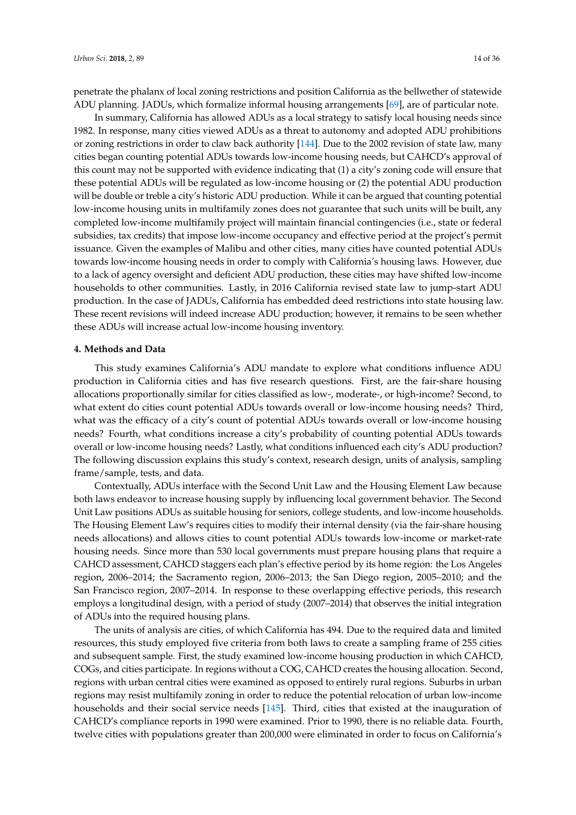penetrate the phalanx of local zoning restrictions and position California as the bellwether of statewide ADU planning. JADUs, which formalize informal housing arrangements [\[69\]](#page-32-16), are of particular note.

In summary, California has allowed ADUs as a local strategy to satisfy local housing needs since 1982. In response, many cities viewed ADUs as a threat to autonomy and adopted ADU prohibitions or zoning restrictions in order to claw back authority [\[144\]](#page-35-9). Due to the 2002 revision of state law, many cities began counting potential ADUs towards low-income housing needs, but CAHCD's approval of this count may not be supported with evidence indicating that (1) a city's zoning code will ensure that these potential ADUs will be regulated as low-income housing or (2) the potential ADU production will be double or treble a city's historic ADU production. While it can be argued that counting potential low-income housing units in multifamily zones does not guarantee that such units will be built, any completed low-income multifamily project will maintain financial contingencies (i.e., state or federal subsidies, tax credits) that impose low-income occupancy and effective period at the project's permit issuance. Given the examples of Malibu and other cities, many cities have counted potential ADUs towards low-income housing needs in order to comply with California's housing laws. However, due to a lack of agency oversight and deficient ADU production, these cities may have shifted low-income households to other communities. Lastly, in 2016 California revised state law to jump-start ADU production. In the case of JADUs, California has embedded deed restrictions into state housing law. These recent revisions will indeed increase ADU production; however, it remains to be seen whether these ADUs will increase actual low-income housing inventory.

#### **4. Methods and Data**

This study examines California's ADU mandate to explore what conditions influence ADU production in California cities and has five research questions. First, are the fair-share housing allocations proportionally similar for cities classified as low-, moderate-, or high-income? Second, to what extent do cities count potential ADUs towards overall or low-income housing needs? Third, what was the efficacy of a city's count of potential ADUs towards overall or low-income housing needs? Fourth, what conditions increase a city's probability of counting potential ADUs towards overall or low-income housing needs? Lastly, what conditions influenced each city's ADU production? The following discussion explains this study's context, research design, units of analysis, sampling frame/sample, tests, and data.

Contextually, ADUs interface with the Second Unit Law and the Housing Element Law because both laws endeavor to increase housing supply by influencing local government behavior. The Second Unit Law positions ADUs as suitable housing for seniors, college students, and low-income households. The Housing Element Law's requires cities to modify their internal density (via the fair-share housing needs allocations) and allows cities to count potential ADUs towards low-income or market-rate housing needs. Since more than 530 local governments must prepare housing plans that require a CAHCD assessment, CAHCD staggers each plan's effective period by its home region: the Los Angeles region, 2006–2014; the Sacramento region, 2006–2013; the San Diego region, 2005–2010; and the San Francisco region, 2007–2014. In response to these overlapping effective periods, this research employs a longitudinal design, with a period of study (2007–2014) that observes the initial integration of ADUs into the required housing plans.

The units of analysis are cities, of which California has 494. Due to the required data and limited resources, this study employed five criteria from both laws to create a sampling frame of 255 cities and subsequent sample. First, the study examined low-income housing production in which CAHCD, COGs, and cities participate. In regions without a COG, CAHCD creates the housing allocation. Second, regions with urban central cities were examined as opposed to entirely rural regions. Suburbs in urban regions may resist multifamily zoning in order to reduce the potential relocation of urban low-income households and their social service needs [\[145\]](#page-35-10). Third, cities that existed at the inauguration of CAHCD's compliance reports in 1990 were examined. Prior to 1990, there is no reliable data. Fourth, twelve cities with populations greater than 200,000 were eliminated in order to focus on California's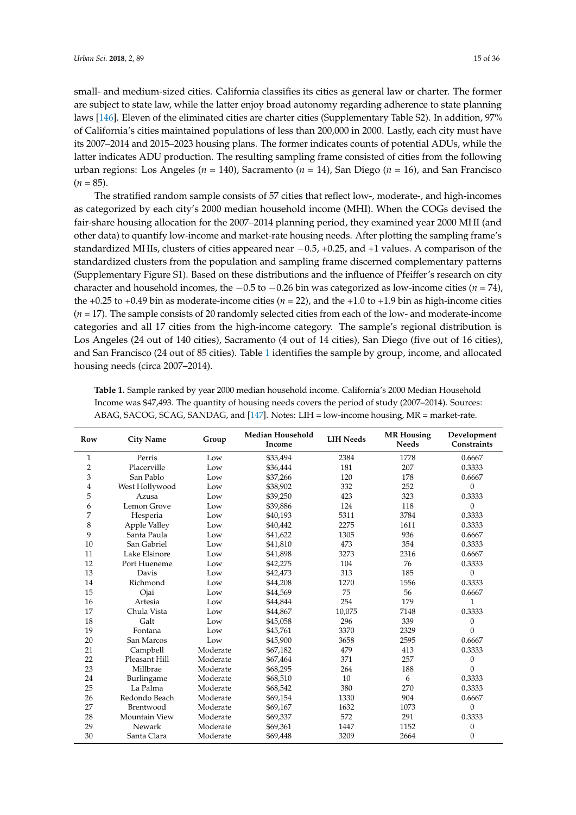small- and medium-sized cities. California classifies its cities as general law or charter. The former are subject to state law, while the latter enjoy broad autonomy regarding adherence to state planning laws [\[146\]](#page-35-11). Eleven of the eliminated cities are charter cities (Supplementary Table S2). In addition, 97% of California's cities maintained populations of less than 200,000 in 2000. Lastly, each city must have its 2007–2014 and 2015–2023 housing plans. The former indicates counts of potential ADUs, while the latter indicates ADU production. The resulting sampling frame consisted of cities from the following urban regions: Los Angeles (*n* = 140), Sacramento (*n* = 14), San Diego (*n* = 16), and San Francisco  $(n = 85)$ .

The stratified random sample consists of 57 cities that reflect low-, moderate-, and high-incomes as categorized by each city's 2000 median household income (MHI). When the COGs devised the fair-share housing allocation for the 2007–2014 planning period, they examined year 2000 MHI (and other data) to quantify low-income and market-rate housing needs. After plotting the sampling frame's standardized MHIs, clusters of cities appeared near −0.5, +0.25, and +1 values. A comparison of the standardized clusters from the population and sampling frame discerned complementary patterns (Supplementary Figure S1). Based on these distributions and the influence of Pfeiffer's research on city character and household incomes, the −0.5 to −0.26 bin was categorized as low-income cities (*n* = 74), the  $+0.25$  to  $+0.49$  bin as moderate-income cities ( $n = 22$ ), and the  $+1.0$  to  $+1.9$  bin as high-income cities (*n* = 17). The sample consists of 20 randomly selected cities from each of the low- and moderate-income categories and all 17 cities from the high-income category. The sample's regional distribution is Los Angeles (24 out of 140 cities), Sacramento (4 out of 14 cities), San Diego (five out of 16 cities), and San Francisco (24 out of 85 cities). Table [1](#page-16-0) identifies the sample by group, income, and allocated housing needs (circa 2007–2014).

| <b>Table 1.</b> Sample ranked by year 2000 median household income. California's 2000 Median Household |
|--------------------------------------------------------------------------------------------------------|
| Income was \$47,493. The quantity of housing needs covers the period of study (2007–2014). Sources:    |
| ABAG, SACOG, SCAG, SANDAG, and [147]. Notes: LIH = low-income housing, MR = market-rate.               |

| Row            | <b>City Name</b> | Group    | <b>Median Household</b><br>Income | <b>LIH Needs</b> | <b>MR Housing</b><br><b>Needs</b> | Development<br>Constraints |
|----------------|------------------|----------|-----------------------------------|------------------|-----------------------------------|----------------------------|
| $\mathbf{1}$   | Perris           | Low      | \$35,494                          | 2384             | 1778                              | 0.6667                     |
| $\overline{2}$ | Placerville      | Low      | \$36,444                          | 181              | 207                               | 0.3333                     |
| 3              | San Pablo        | Low      | \$37,266                          | 120              | 178                               | 0.6667                     |
| 4              | West Hollywood   | Low      | \$38,902                          | 332              | 252                               | 0                          |
| 5              | Azusa            | Low      | \$39,250                          | 423              | 323                               | 0.3333                     |
| 6              | Lemon Grove      | Low      | \$39,886                          | 124              | 118                               | 0                          |
| 7              | Hesperia         | Low      | \$40,193                          | 5311             | 3784                              | 0.3333                     |
| 8              | Apple Valley     | Low      | \$40,442                          | 2275             | 1611                              | 0.3333                     |
| 9              | Santa Paula      | Low      | \$41,622                          | 1305             | 936                               | 0.6667                     |
| 10             | San Gabriel      | Low      | \$41,810                          | 473              | 354                               | 0.3333                     |
| 11             | Lake Elsinore    | Low      | \$41,898                          | 3273             | 2316                              | 0.6667                     |
| 12             | Port Hueneme     | Low      | \$42,275                          | 104              | 76                                | 0.3333                     |
| 13             | Davis            | Low      | \$42,473                          | 313              | 185                               | 0                          |
| 14             | Richmond         | Low      | \$44,208                          | 1270             | 1556                              | 0.3333                     |
| 15             | Ojai             | Low      | \$44,569                          | 75               | 56                                | 0.6667                     |
| 16             | Artesia          | Low      | \$44,844                          | 254              | 179                               | 1                          |
| 17             | Chula Vista      | Low      | \$44,867                          | 10,075           | 7148                              | 0.3333                     |
| 18             | Galt             | Low      | \$45,058                          | 296              | 339                               | 0                          |
| 19             | Fontana          | Low      | \$45,761                          | 3370             | 2329                              | $\overline{0}$             |
| 20             | San Marcos       | Low      | \$45,900                          | 3658             | 2595                              | 0.6667                     |
| 21             | Campbell         | Moderate | \$67,182                          | 479              | 413                               | 0.3333                     |
| 22             | Pleasant Hill    | Moderate | \$67,464                          | 371              | 257                               | 0                          |
| 23             | Millbrae         | Moderate | \$68,295                          | 264              | 188                               | 0                          |
| 24             | Burlingame       | Moderate | \$68,510                          | 10               | 6                                 | 0.3333                     |
| 25             | La Palma         | Moderate | \$68,542                          | 380              | 270                               | 0.3333                     |
| 26             | Redondo Beach    | Moderate | \$69,154                          | 1330             | 904                               | 0.6667                     |
| 27             | Brentwood        | Moderate | \$69,167                          | 1632             | 1073                              | $\overline{0}$             |
| 28             | Mountain View    | Moderate | \$69,337                          | 572              | 291                               | 0.3333                     |
| 29             | Newark           | Moderate | \$69,361                          | 1447             | 1152                              | 0                          |
| 30             | Santa Clara      | Moderate | \$69,448                          | 3209             | 2664                              | 0                          |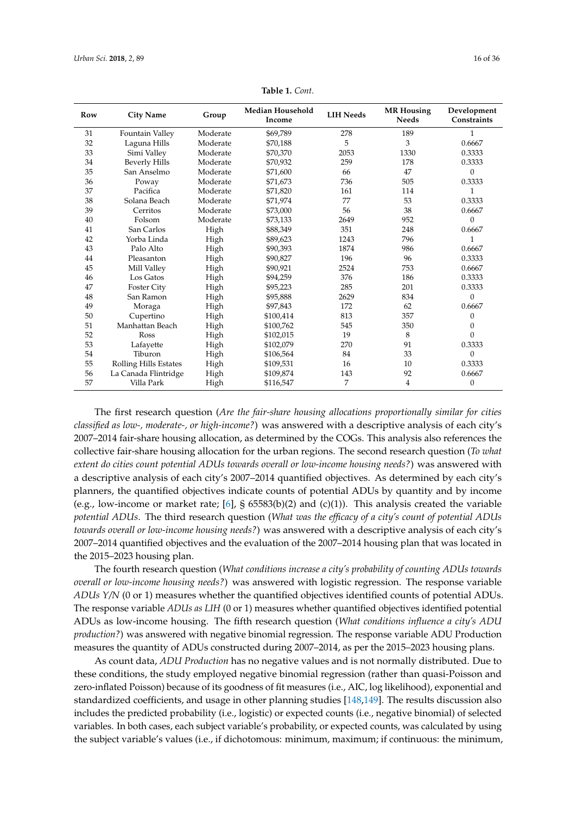<span id="page-16-0"></span>

| Row | <b>City Name</b>      | Group    | Median Household<br>Income | <b>LIH Needs</b> | <b>MR Housing</b><br><b>Needs</b> | Development<br>Constraints |
|-----|-----------------------|----------|----------------------------|------------------|-----------------------------------|----------------------------|
| 31  | Fountain Valley       | Moderate | \$69,789                   | 278              | 189                               | $\mathbf{1}$               |
| 32  | Laguna Hills          | Moderate | \$70,188                   | 5                | 3                                 | 0.6667                     |
| 33  | Simi Valley           | Moderate | \$70,370                   | 2053             | 1330                              | 0.3333                     |
| 34  | <b>Beverly Hills</b>  | Moderate | \$70,932                   | 259              | 178                               | 0.3333                     |
| 35  | San Anselmo           | Moderate | \$71,600                   | 66               | 47                                | $\overline{0}$             |
| 36  | Poway                 | Moderate | \$71,673                   | 736              | 505                               | 0.3333                     |
| 37  | Pacifica              | Moderate | \$71,820                   | 161              | 114                               | $\mathbf{1}$               |
| 38  | Solana Beach          | Moderate | \$71,974                   | 77               | 53                                | 0.3333                     |
| 39  | Cerritos              | Moderate | \$73,000                   | 56               | 38                                | 0.6667                     |
| 40  | Folsom                | Moderate | \$73,133                   | 2649             | 952                               | $\mathbf{0}$               |
| 41  | San Carlos            | High     | \$88,349                   | 351              | 248                               | 0.6667                     |
| 42  | Yorba Linda           | High     | \$89,623                   | 1243             | 796                               | $\mathbf{1}$               |
| 43  | Palo Alto             | High     | \$90,393                   | 1874             | 986                               | 0.6667                     |
| 44  | Pleasanton            | High     | \$90,827                   | 196              | 96                                | 0.3333                     |
| 45  | Mill Valley           | High     | \$90,921                   | 2524             | 753                               | 0.6667                     |
| 46  | Los Gatos             | High     | \$94,259                   | 376              | 186                               | 0.3333                     |
| 47  | <b>Foster City</b>    | High     | \$95,223                   | 285              | 201                               | 0.3333                     |
| 48  | San Ramon             | High     | \$95,888                   | 2629             | 834                               | $\mathbf{0}$               |
| 49  | Moraga                | High     | \$97,843                   | 172              | 62                                | 0.6667                     |
| 50  | Cupertino             | High     | \$100,414                  | 813              | 357                               | 0                          |
| 51  | Manhattan Beach       | High     | \$100,762                  | 545              | 350                               | $\mathbf{0}$               |
| 52  | Ross                  | High     | \$102,015                  | 19               | 8                                 | $\Omega$                   |
| 53  | Lafayette             | High     | \$102,079                  | 270              | 91                                | 0.3333                     |
| 54  | Tiburon               | High     | \$106,564                  | 84               | 33                                | $\mathbf{0}$               |
| 55  | Rolling Hills Estates | High     | \$109,531                  | 16               | 10                                | 0.3333                     |
| 56  | La Canada Flintridge  | High     | \$109,874                  | 143              | 92                                | 0.6667                     |
| 57  | Villa Park            | High     | \$116,547                  | 7                | 4                                 | $\mathbf{0}$               |

**Table 1.** *Cont*.

The first research question (*Are the fair-share housing allocations proportionally similar for cities classified as low-, moderate-, or high-income?*) was answered with a descriptive analysis of each city's 2007–2014 fair-share housing allocation, as determined by the COGs. This analysis also references the collective fair-share housing allocation for the urban regions. The second research question (*To what extent do cities count potential ADUs towards overall or low-income housing needs?*) was answered with a descriptive analysis of each city's 2007–2014 quantified objectives. As determined by each city's planners, the quantified objectives indicate counts of potential ADUs by quantity and by income (e.g., low-income or market rate;  $[6]$ , § 65583(b)(2) and (c)(1)). This analysis created the variable *potential ADUs*. The third research question (*What was the efficacy of a city's count of potential ADUs towards overall or low-income housing needs?*) was answered with a descriptive analysis of each city's 2007–2014 quantified objectives and the evaluation of the 2007–2014 housing plan that was located in the 2015–2023 housing plan.

The fourth research question (*What conditions increase a city's probability of counting ADUs towards overall or low-income housing needs?*) was answered with logistic regression. The response variable *ADUs Y/N* (0 or 1) measures whether the quantified objectives identified counts of potential ADUs. The response variable *ADUs as LIH* (0 or 1) measures whether quantified objectives identified potential ADUs as low-income housing. The fifth research question (*What conditions influence a city's ADU production?*) was answered with negative binomial regression. The response variable ADU Production measures the quantity of ADUs constructed during 2007–2014, as per the 2015–2023 housing plans.

As count data, *ADU Production* has no negative values and is not normally distributed. Due to these conditions, the study employed negative binomial regression (rather than quasi-Poisson and zero-inflated Poisson) because of its goodness of fit measures (i.e., AIC, log likelihood), exponential and standardized coefficients, and usage in other planning studies [\[148,](#page-35-13)[149\]](#page-35-14). The results discussion also includes the predicted probability (i.e., logistic) or expected counts (i.e., negative binomial) of selected variables. In both cases, each subject variable's probability, or expected counts, was calculated by using the subject variable's values (i.e., if dichotomous: minimum, maximum; if continuous: the minimum,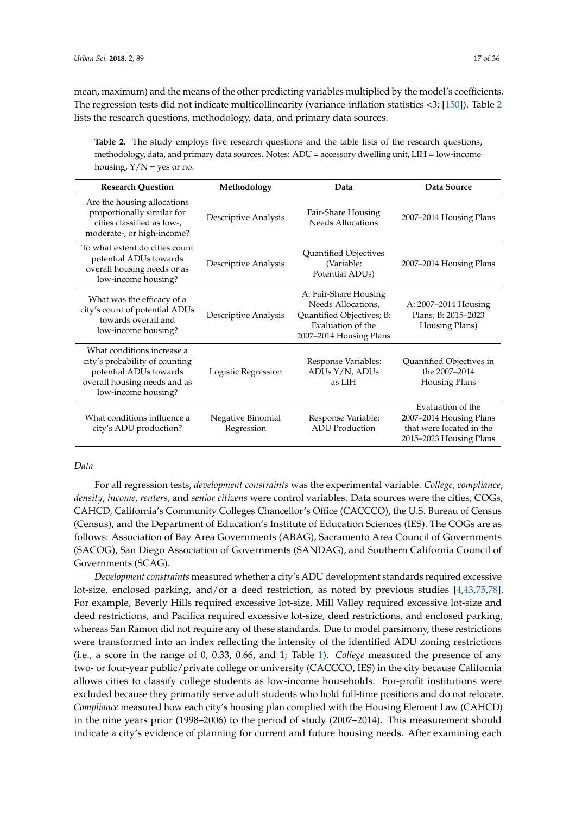mean, maximum) and the means of the other predicting variables multiplied by the model's coefficients. The regression tests did not indicate multicollinearity (variance-inflation statistics <3; [\[150\]](#page-35-15)). Table [2](#page-17-0) lists the research questions, methodology, data, and primary data sources.

<span id="page-17-0"></span>**Table 2.** The study employs five research questions and the table lists of the research questions, methodology, data, and primary data sources. Notes: ADU = accessory dwelling unit, LIH = low-income housing,  $Y/N$  = yes or no.

| <b>Research Question</b>                                                                                                                      | Methodology                     | Data                                                                                                                     | Data Source                                                                                         |
|-----------------------------------------------------------------------------------------------------------------------------------------------|---------------------------------|--------------------------------------------------------------------------------------------------------------------------|-----------------------------------------------------------------------------------------------------|
| Are the housing allocations<br>proportionally similar for<br>cities classified as low-,<br>moderate-, or high-income?                         | Descriptive Analysis            | Fair-Share Housing<br>Needs Allocations                                                                                  | 2007-2014 Housing Plans                                                                             |
| To what extent do cities count<br>potential ADUs towards<br>overall housing needs or as<br>low-income housing?                                | Descriptive Analysis            | Quantified Objectives<br>(Variable:<br>Potential ADU <sub>s</sub> )                                                      | 2007–2014 Housing Plans                                                                             |
| What was the efficacy of a<br>city's count of potential ADUs<br>towards overall and<br>low-income housing?                                    | Descriptive Analysis            | A: Fair-Share Housing<br>Needs Allocations.<br>Quantified Objectives; B:<br>Evaluation of the<br>2007-2014 Housing Plans | A: 2007–2014 Housing<br>Plans; B: 2015-2023<br>Housing Plans)                                       |
| What conditions increase a<br>city's probability of counting<br>potential ADUs towards<br>overall housing needs and as<br>low-income housing? | Logistic Regression             | Response Variables:<br>ADUs Y/N, ADUs<br>as LIH                                                                          | Quantified Objectives in<br>the 2007-2014<br>Housing Plans                                          |
| What conditions influence a<br>city's ADU production?                                                                                         | Negative Binomial<br>Regression | Response Variable:<br><b>ADU</b> Production                                                                              | Evaluation of the<br>2007-2014 Housing Plans<br>that were located in the<br>2015-2023 Housing Plans |

#### *Data*

For all regression tests, *development constraints* was the experimental variable. *College*, *compliance*, *density*, *income*, *renters*, and *senior citizens* were control variables. Data sources were the cities, COGs, CAHCD, California's Community Colleges Chancellor's Office (CACCCO), the U.S. Bureau of Census (Census), and the Department of Education's Institute of Education Sciences (IES). The COGs are as follows: Association of Bay Area Governments (ABAG), Sacramento Area Council of Governments (SACOG), San Diego Association of Governments (SANDAG), and Southern California Council of Governments (SCAG).

*Development constraints* measured whether a city's ADU development standards required excessive lot-size, enclosed parking, and/or a deed restriction, as noted by previous studies [\[4,](#page-30-3)[43,](#page-31-20)[75,](#page-32-22)[78\]](#page-33-0). For example, Beverly Hills required excessive lot-size, Mill Valley required excessive lot-size and deed restrictions, and Pacifica required excessive lot-size, deed restrictions, and enclosed parking, whereas San Ramon did not require any of these standards. Due to model parsimony, these restrictions were transformed into an index reflecting the intensity of the identified ADU zoning restrictions (i.e., a score in the range of 0, 0.33, 0.66, and 1; Table [1\)](#page-16-0). *College* measured the presence of any two- or four-year public/private college or university (CACCCO, IES) in the city because California allows cities to classify college students as low-income households. For-profit institutions were excluded because they primarily serve adult students who hold full-time positions and do not relocate. *Compliance* measured how each city's housing plan complied with the Housing Element Law (CAHCD) in the nine years prior (1998–2006) to the period of study (2007–2014). This measurement should indicate a city's evidence of planning for current and future housing needs. After examining each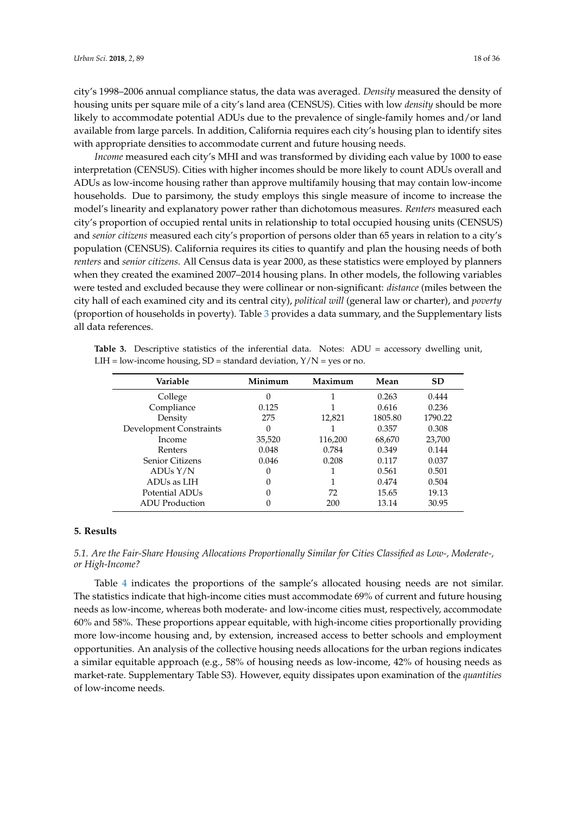city's 1998–2006 annual compliance status, the data was averaged. *Density* measured the density of housing units per square mile of a city's land area (CENSUS). Cities with low *density* should be more likely to accommodate potential ADUs due to the prevalence of single-family homes and/or land available from large parcels. In addition, California requires each city's housing plan to identify sites with appropriate densities to accommodate current and future housing needs.

*Income* measured each city's MHI and was transformed by dividing each value by 1000 to ease interpretation (CENSUS). Cities with higher incomes should be more likely to count ADUs overall and ADUs as low-income housing rather than approve multifamily housing that may contain low-income households. Due to parsimony, the study employs this single measure of income to increase the model's linearity and explanatory power rather than dichotomous measures. *Renters* measured each city's proportion of occupied rental units in relationship to total occupied housing units (CENSUS) and *senior citizens* measured each city's proportion of persons older than 65 years in relation to a city's population (CENSUS). California requires its cities to quantify and plan the housing needs of both *renters* and *senior citizens*. All Census data is year 2000, as these statistics were employed by planners when they created the examined 2007–2014 housing plans. In other models, the following variables were tested and excluded because they were collinear or non-significant: *distance* (miles between the city hall of each examined city and its central city), *political will* (general law or charter), and *poverty* (proportion of households in poverty). Table [3](#page-18-0) provides a data summary, and the Supplementary lists all data references.

<span id="page-18-0"></span>

| Table 3. Descriptive statistics of the inferential data. Notes: ADU = accessory dwelling unit, |  |  |  |  |  |
|------------------------------------------------------------------------------------------------|--|--|--|--|--|
| LIH = low-income housing, SD = standard deviation, $Y/N$ = yes or no.                          |  |  |  |  |  |

| Variable                | Minimum  | Maximum | Mean    | <b>SD</b> |
|-------------------------|----------|---------|---------|-----------|
| College                 | 0        |         | 0.263   | 0.444     |
| Compliance              | 0.125    |         | 0.616   | 0.236     |
| Density                 | 275      | 12,821  | 1805.80 | 1790.22   |
| Development Constraints | 0        |         | 0.357   | 0.308     |
| Income                  | 35,520   | 116,200 | 68,670  | 23,700    |
| Renters                 | 0.048    | 0.784   | 0.349   | 0.144     |
| <b>Senior Citizens</b>  | 0.046    | 0.208   | 0.117   | 0.037     |
| ADUs $Y/N$              | $\theta$ |         | 0.561   | 0.501     |
| ADUs as LIH             | 0        |         | 0.474   | 0.504     |
| Potential ADUs          | 0        | 72      | 15.65   | 19.13     |
| <b>ADU</b> Production   |          | 200     | 13.14   | 30.95     |

#### **5. Results**

*5.1. Are the Fair-Share Housing Allocations Proportionally Similar for Cities Classified as Low-, Moderate-, or High-Income?*

Table [4](#page-19-0) indicates the proportions of the sample's allocated housing needs are not similar. The statistics indicate that high-income cities must accommodate 69% of current and future housing needs as low-income, whereas both moderate- and low-income cities must, respectively, accommodate 60% and 58%. These proportions appear equitable, with high-income cities proportionally providing more low-income housing and, by extension, increased access to better schools and employment opportunities. An analysis of the collective housing needs allocations for the urban regions indicates a similar equitable approach (e.g., 58% of housing needs as low-income, 42% of housing needs as market-rate. Supplementary Table S3). However, equity dissipates upon examination of the *quantities* of low-income needs.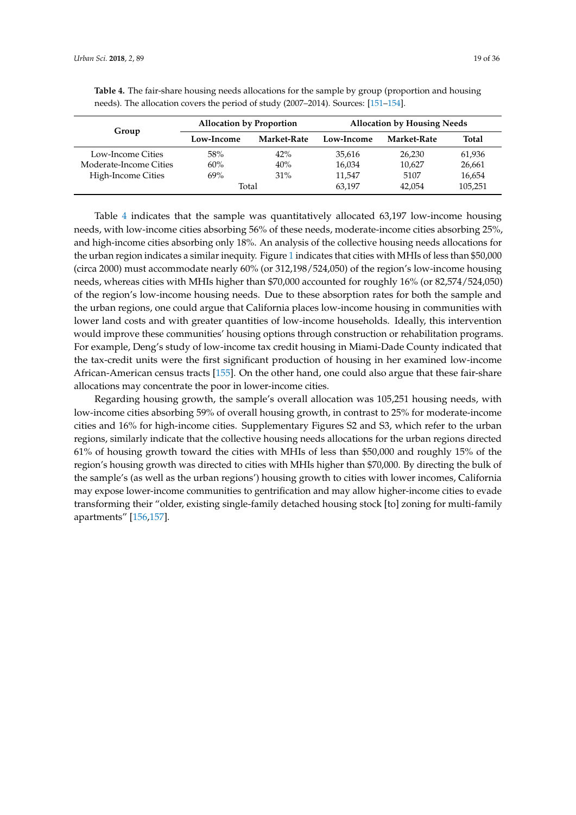| Group                  | <b>Allocation by Proportion</b> |             | <b>Allocation by Housing Needs</b> |             |         |  |
|------------------------|---------------------------------|-------------|------------------------------------|-------------|---------|--|
|                        | Low-Income                      | Market-Rate | Low-Income                         | Market-Rate | Total   |  |
| Low-Income Cities      | 58%                             | 42%         | 35,616                             | 26.230      | 61,936  |  |
| Moderate-Income Cities | 60%                             | 40%         | 16,034                             | 10,627      | 26,661  |  |
| High-Income Cities     | 69%                             | 31%         | 11,547                             | 5107        | 16,654  |  |
|                        | Total                           |             | 63,197                             | 42.054      | 105,251 |  |

<span id="page-19-0"></span>**Table 4.** The fair-share housing needs allocations for the sample by group (proportion and housing needs). The allocation covers the period of study (2007–2014). Sources: [\[151](#page-35-16)[–154\]](#page-35-17).

Table [4](#page-19-0) indicates that the sample was quantitatively allocated 63,197 low-income housing needs, with low-income cities absorbing 56% of these needs, moderate-income cities absorbing 25%, and high-income cities absorbing only 18%. An analysis of the collective housing needs allocations for the urban region indicates a similar inequity. Figure [1](#page-20-0) indicates that cities with MHIs of less than \$50,000 (circa 2000) must accommodate nearly 60% (or 312,198/524,050) of the region's low-income housing needs, whereas cities with MHIs higher than \$70,000 accounted for roughly 16% (or 82,574/524,050) of the region's low-income housing needs. Due to these absorption rates for both the sample and the urban regions, one could argue that California places low-income housing in communities with lower land costs and with greater quantities of low-income households. Ideally, this intervention would improve these communities' housing options through construction or rehabilitation programs. For example, Deng's study of low-income tax credit housing in Miami-Dade County indicated that the tax-credit units were the first significant production of housing in her examined low-income African-American census tracts [\[155\]](#page-35-18). On the other hand, one could also argue that these fair-share allocations may concentrate the poor in lower-income cities.

Regarding housing growth, the sample's overall allocation was 105,251 housing needs, with low-income cities absorbing 59% of overall housing growth, in contrast to 25% for moderate-income cities and 16% for high-income cities. Supplementary Figures S2 and S3, which refer to the urban regions, similarly indicate that the collective housing needs allocations for the urban regions directed 61% of housing growth toward the cities with MHIs of less than \$50,000 and roughly 15% of the region's housing growth was directed to cities with MHIs higher than \$70,000. By directing the bulk of the sample's (as well as the urban regions') housing growth to cities with lower incomes, California may expose lower-income communities to gentrification and may allow higher-income cities to evade transforming their "older, existing single-family detached housing stock [to] zoning for multi-family apartments" [\[156,](#page-35-19)[157\]](#page-35-20).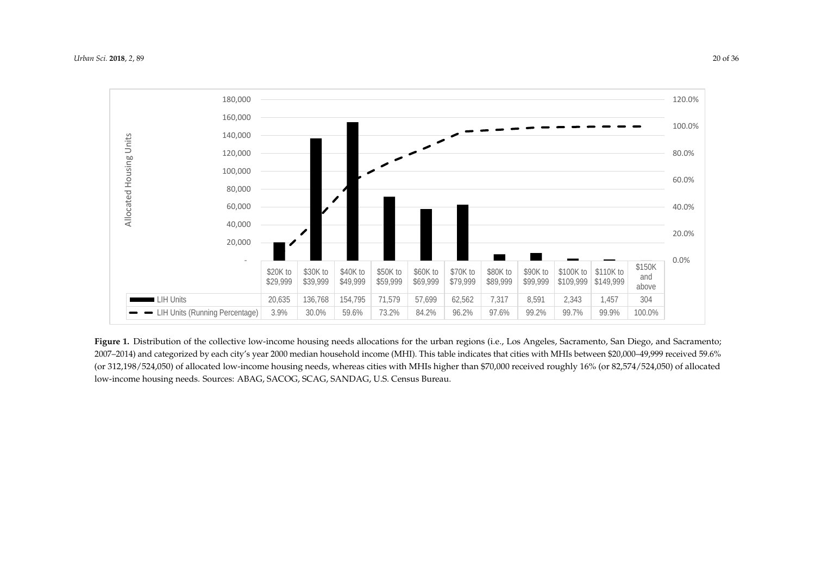

<span id="page-20-0"></span>Figure 1. Distribution of the collective low-income housing needs allocations for the urban regions (i.e., Los Angeles, Sacramento, San Diego, and Sacramento; 2007–2014) and categorized by each city's year 2000 median household income (MHI). This table indicates that cities with MHIs between \$20,000–49,999 received 59.6% (or 312,198/524,050) of allocated low-income housing needs, whereas cities with MHIs higher than \$70,000 received roughly 16% (or 82,574/524,050) of allocated low-income housing needs. Sources: ABAG, SACOG, SCAG, SANDAG, U.S. Census Bureau. low-income housing needs. Sources: ABAG, SACOG, SCAG, SANDAG, U.S. Census Bureau.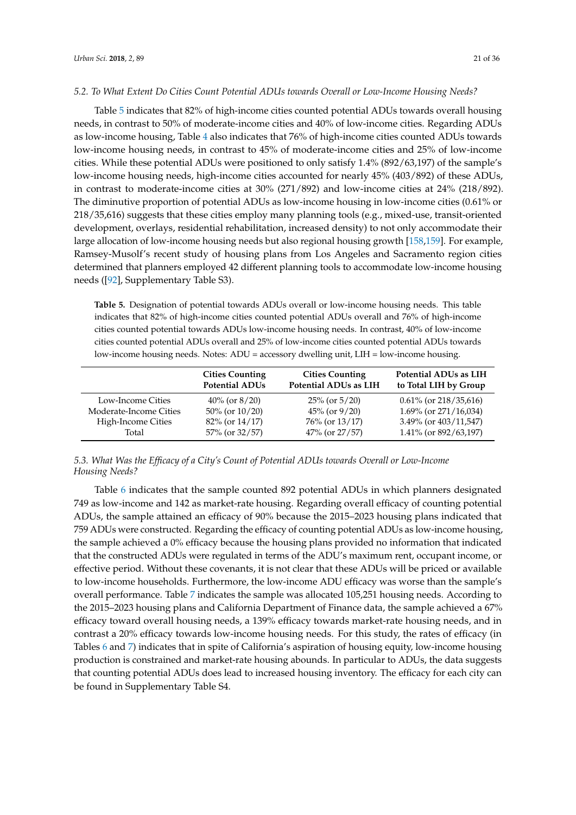#### *5.2. To What Extent Do Cities Count Potential ADUs towards Overall or Low-Income Housing Needs?*

Table [5](#page-21-0) indicates that 82% of high-income cities counted potential ADUs towards overall housing needs, in contrast to 50% of moderate-income cities and 40% of low-income cities. Regarding ADUs as low-income housing, Table [4](#page-19-0) also indicates that 76% of high-income cities counted ADUs towards low-income housing needs, in contrast to 45% of moderate-income cities and 25% of low-income cities. While these potential ADUs were positioned to only satisfy 1.4% (892/63,197) of the sample's low-income housing needs, high-income cities accounted for nearly 45% (403/892) of these ADUs, in contrast to moderate-income cities at 30% (271/892) and low-income cities at 24% (218/892). The diminutive proportion of potential ADUs as low-income housing in low-income cities (0.61% or 218/35,616) suggests that these cities employ many planning tools (e.g., mixed-use, transit-oriented development, overlays, residential rehabilitation, increased density) to not only accommodate their large allocation of low-income housing needs but also regional housing growth [\[158](#page-35-21)[,159\]](#page-35-22). For example, Ramsey-Musolf's recent study of housing plans from Los Angeles and Sacramento region cities determined that planners employed 42 different planning tools to accommodate low-income housing needs ([\[92\]](#page-33-13), Supplementary Table S3).

<span id="page-21-0"></span>**Table 5.** Designation of potential towards ADUs overall or low-income housing needs. This table indicates that 82% of high-income cities counted potential ADUs overall and 76% of high-income cities counted potential towards ADUs low-income housing needs. In contrast, 40% of low-income cities counted potential ADUs overall and 25% of low-income cities counted potential ADUs towards low-income housing needs. Notes: ADU = accessory dwelling unit, LIH = low-income housing.

| <b>Cities Counting</b><br><b>Potential ADUs</b> | <b>Cities Counting</b><br><b>Potential ADUs as LIH</b> | Potential ADUs as LIH<br>to Total LIH by Group          |
|-------------------------------------------------|--------------------------------------------------------|---------------------------------------------------------|
| $40\%$ (or $8/20$ )                             | $25\%$ (or $5/20$ )                                    | $0.61\%$ (or 218/35,616)<br>$1.69\%$ (or $271/16,034$ ) |
| $82\%$ (or $14/17$ )                            | $76\%$ (or $13/17$ )                                   | $3.49\%$ (or $403/11,547$ )<br>$1.41\%$ (or 892/63,197) |
|                                                 | $50\%$ (or $10/20$ )<br>57% (or 32/57)                 | $45\%$ (or $9/20$ )<br>$47\%$ (or $27/57$ )             |

### *5.3. What Was the Efficacy of a City's Count of Potential ADUs towards Overall or Low-Income Housing Needs?*

Table [6](#page-22-0) indicates that the sample counted 892 potential ADUs in which planners designated 749 as low-income and 142 as market-rate housing. Regarding overall efficacy of counting potential ADUs, the sample attained an efficacy of 90% because the 2015–2023 housing plans indicated that 759 ADUs were constructed. Regarding the efficacy of counting potential ADUs as low-income housing, the sample achieved a 0% efficacy because the housing plans provided no information that indicated that the constructed ADUs were regulated in terms of the ADU's maximum rent, occupant income, or effective period. Without these covenants, it is not clear that these ADUs will be priced or available to low-income households. Furthermore, the low-income ADU efficacy was worse than the sample's overall performance. Table [7](#page-22-1) indicates the sample was allocated 105,251 housing needs. According to the 2015–2023 housing plans and California Department of Finance data, the sample achieved a 67% efficacy toward overall housing needs, a 139% efficacy towards market-rate housing needs, and in contrast a 20% efficacy towards low-income housing needs. For this study, the rates of efficacy (in Tables [6](#page-22-0) and [7\)](#page-22-1) indicates that in spite of California's aspiration of housing equity, low-income housing production is constrained and market-rate housing abounds. In particular to ADUs, the data suggests that counting potential ADUs does lead to increased housing inventory. The efficacy for each city can be found in Supplementary Table S4.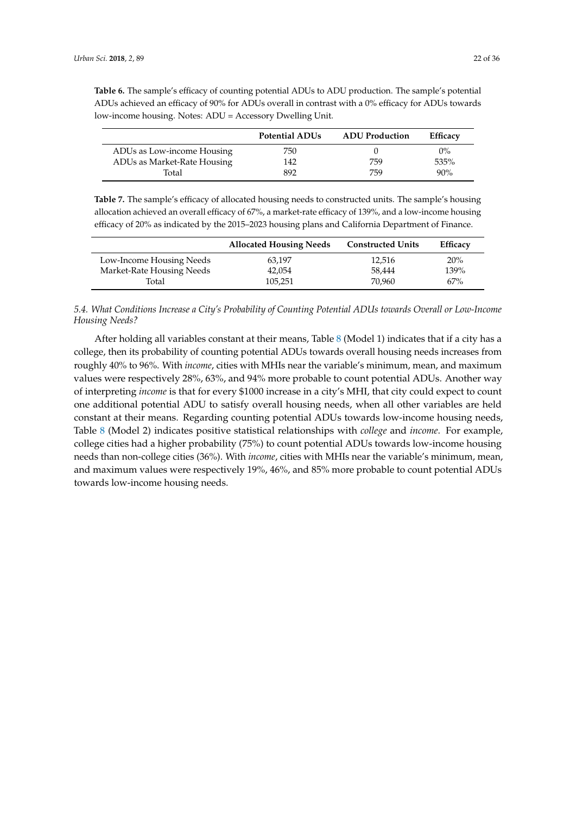<span id="page-22-0"></span>

| Table 6. The sample's efficacy of counting potential ADUs to ADU production. The sample's potential |
|-----------------------------------------------------------------------------------------------------|
| ADUs achieved an efficacy of 90% for ADUs overall in contrast with a 0% efficacy for ADUs towards   |
| low-income housing. Notes: ADU = Accessory Dwelling Unit.                                           |

|                             | <b>Potential ADUs</b> | <b>ADU</b> Production | <b>Efficacy</b> |
|-----------------------------|-----------------------|-----------------------|-----------------|
| ADUs as Low-income Housing  | 750                   |                       | $0\%$           |
| ADUs as Market-Rate Housing | 142                   | 759                   | 535%            |
| Total                       | 892                   | 759                   | 90%             |

<span id="page-22-1"></span>**Table 7.** The sample's efficacy of allocated housing needs to constructed units. The sample's housing allocation achieved an overall efficacy of 67%, a market-rate efficacy of 139%, and a low-income housing efficacy of 20% as indicated by the 2015–2023 housing plans and California Department of Finance.

|                           | <b>Allocated Housing Needs</b> | <b>Constructed Units</b> | <b>Efficacy</b> |
|---------------------------|--------------------------------|--------------------------|-----------------|
| Low-Income Housing Needs  | 63.197                         | 12.516                   | 20%             |
| Market-Rate Housing Needs | 42.054                         | 58.444                   | 139%            |
| Total                     | 105.251                        | 70.960                   | 67%             |

*5.4. What Conditions Increase a City's Probability of Counting Potential ADUs towards Overall or Low-Income Housing Needs?*

After holding all variables constant at their means, Table [8](#page-23-0) (Model 1) indicates that if a city has a college, then its probability of counting potential ADUs towards overall housing needs increases from roughly 40% to 96%. With *income*, cities with MHIs near the variable's minimum, mean, and maximum values were respectively 28%, 63%, and 94% more probable to count potential ADUs. Another way of interpreting *income* is that for every \$1000 increase in a city's MHI, that city could expect to count one additional potential ADU to satisfy overall housing needs, when all other variables are held constant at their means. Regarding counting potential ADUs towards low-income housing needs, Table [8](#page-23-0) (Model 2) indicates positive statistical relationships with *college* and *income*. For example, college cities had a higher probability (75%) to count potential ADUs towards low-income housing needs than non-college cities (36%). With *income*, cities with MHIs near the variable's minimum, mean, and maximum values were respectively 19%, 46%, and 85% more probable to count potential ADUs towards low-income housing needs.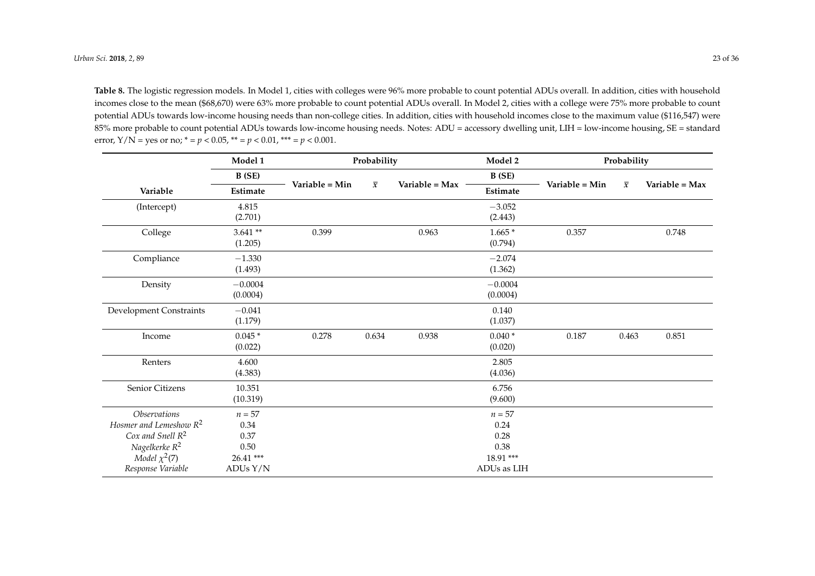**Table 8.** The logistic regression models. In Model 1, cities with colleges were 96% more probable to count potential ADUs overall. In addition, cities with household incomes close to the mean (\$68,670) were 63% more probable to count potential ADUs overall. In Model 2, cities with a college were 75% more probable to count potential ADUs towards low-income housing needs than non-college cities. In addition, cities with household incomes close to the maximum value (\$116,547) were 85% more probable to count potential ADUs towards low-income housing needs. Notes: ADU = accessory dwelling unit, LIH = low-income housing, SE = standard error,  $Y/N$  = yes or no;  $* = p < 0.05$ ,  $** = p < 0.01$ ,  $*** = p < 0.001$ .

<span id="page-23-0"></span>

|                                                              | Model 1                       |                | Probability    |                  | Model 2                    |                | Probability    |                |
|--------------------------------------------------------------|-------------------------------|----------------|----------------|------------------|----------------------------|----------------|----------------|----------------|
|                                                              | B (SE)                        |                |                |                  | B (SE)                     |                |                |                |
| Variable                                                     | Estimate                      | Variable = Min | $\overline{x}$ | Variable = $Max$ | Estimate                   | Variable = Min | $\overline{x}$ | Variable = Max |
| (Intercept)                                                  | 4.815<br>(2.701)              |                |                |                  | $-3.052$<br>(2.443)        |                |                |                |
| College                                                      | $3.641**$<br>(1.205)          | 0.399          |                | 0.963            | $1.665*$<br>(0.794)        | 0.357          |                | 0.748          |
| Compliance                                                   | $-1.330$<br>(1.493)           |                |                |                  | $-2.074$<br>(1.362)        |                |                |                |
| Density                                                      | $-0.0004$<br>(0.0004)         |                |                |                  | $-0.0004$<br>(0.0004)      |                |                |                |
| Development Constraints                                      | $-0.041$<br>(1.179)           |                |                |                  | 0.140<br>(1.037)           |                |                |                |
| Income                                                       | $0.045*$<br>(0.022)           | 0.278          | 0.634          | 0.938            | $0.040*$<br>(0.020)        | 0.187          | 0.463          | 0.851          |
| Renters                                                      | 4.600<br>(4.383)              |                |                |                  | 2.805<br>(4.036)           |                |                |                |
| Senior Citizens                                              | 10.351<br>(10.319)            |                |                |                  | 6.756<br>(9.600)           |                |                |                |
| <i><b>Observations</b></i><br>Hosmer and Lemeshow $R^2$      | $n = 57$<br>0.34              |                |                |                  | $n = 57$<br>0.24           |                |                |                |
| Cox and Snell $R^2$<br>Nagelkerke $R^2$<br>Model $\chi^2(7)$ | 0.37<br>$0.50\,$<br>26.41 *** |                |                |                  | 0.28<br>0.38<br>$18.91***$ |                |                |                |
| Response Variable                                            | ADUs $Y/N$                    |                |                |                  | ADUs as LIH                |                |                |                |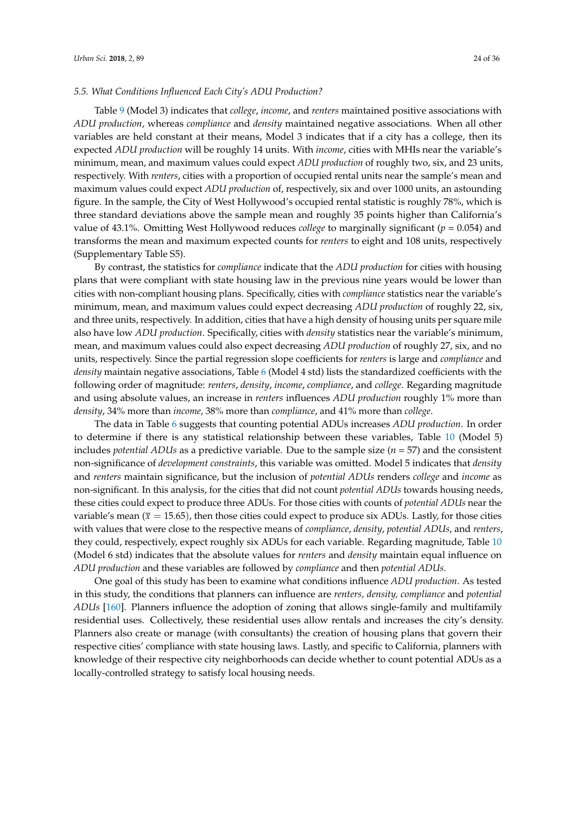#### *5.5. What Conditions Influenced Each City's ADU Production?*

Table [9](#page-25-0) (Model 3) indicates that *college*, *income*, and *renters* maintained positive associations with *ADU production*, whereas *compliance* and *density* maintained negative associations. When all other variables are held constant at their means, Model 3 indicates that if a city has a college, then its expected *ADU production* will be roughly 14 units. With *income*, cities with MHIs near the variable's minimum, mean, and maximum values could expect *ADU production* of roughly two, six, and 23 units, respectively. With *renters*, cities with a proportion of occupied rental units near the sample's mean and maximum values could expect *ADU production* of, respectively, six and over 1000 units, an astounding figure. In the sample, the City of West Hollywood's occupied rental statistic is roughly 78%, which is three standard deviations above the sample mean and roughly 35 points higher than California's value of 43.1%. Omitting West Hollywood reduces *college* to marginally significant (*p* = 0.054) and transforms the mean and maximum expected counts for *renters* to eight and 108 units, respectively (Supplementary Table S5).

By contrast, the statistics for *compliance* indicate that the *ADU production* for cities with housing plans that were compliant with state housing law in the previous nine years would be lower than cities with non-compliant housing plans. Specifically, cities with *compliance* statistics near the variable's minimum, mean, and maximum values could expect decreasing *ADU production* of roughly 22, six, and three units, respectively. In addition, cities that have a high density of housing units per square mile also have low *ADU production*. Specifically, cities with *density* statistics near the variable's minimum, mean, and maximum values could also expect decreasing *ADU production* of roughly 27, six, and no units, respectively. Since the partial regression slope coefficients for *renters* is large and *compliance* and *density* maintain negative associations, Table [6](#page-22-0) (Model 4 std) lists the standardized coefficients with the following order of magnitude: *renters*, *density*, *income*, *compliance*, and *college*. Regarding magnitude and using absolute values, an increase in *renters* influences *ADU production* roughly 1% more than *density*, 34% more than *income*, 38% more than *compliance*, and 41% more than *college*.

The data in Table [6](#page-22-0) suggests that counting potential ADUs increases *ADU production*. In order to determine if there is any statistical relationship between these variables, Table [10](#page-26-0) (Model 5) includes *potential ADUs* as a predictive variable. Due to the sample size (*n* = 57) and the consistent non-significance of *development constraints*, this variable was omitted. Model 5 indicates that *density* and *renters* maintain significance, but the inclusion of *potential ADUs* renders *college* and *income* as non-significant. In this analysis, for the cities that did not count *potential ADUs* towards housing needs, these cities could expect to produce three ADUs. For those cities with counts of *potential ADUs* near the variable's mean ( $\bar{x}$  = 15.65), then those cities could expect to produce six ADUs. Lastly, for those cities with values that were close to the respective means of *compliance*, *density*, *potential ADUs*, and *renters*, they could, respectively, expect roughly six ADUs for each variable. Regarding magnitude, Table [10](#page-26-0) (Model 6 std) indicates that the absolute values for *renters* and *density* maintain equal influence on *ADU production* and these variables are followed by *compliance* and then *potential ADUs*.

One goal of this study has been to examine what conditions influence *ADU production*. As tested in this study, the conditions that planners can influence are *renters, density, compliance* and *potential ADUs* [\[160\]](#page-35-23). Planners influence the adoption of zoning that allows single-family and multifamily residential uses. Collectively, these residential uses allow rentals and increases the city's density. Planners also create or manage (with consultants) the creation of housing plans that govern their respective cities' compliance with state housing laws. Lastly, and specific to California, planners with knowledge of their respective city neighborhoods can decide whether to count potential ADUs as a locally-controlled strategy to satisfy local housing needs.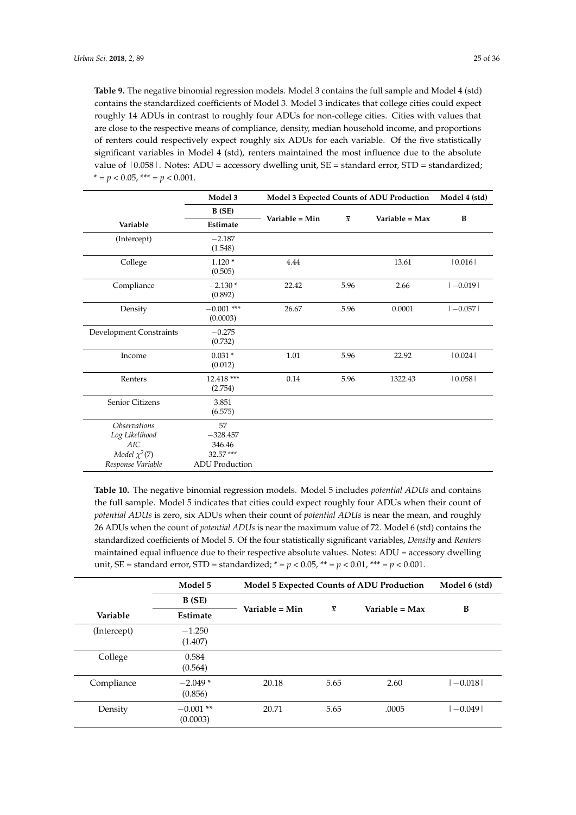<span id="page-25-0"></span>**Table 9.** The negative binomial regression models. Model 3 contains the full sample and Model 4 (std) contains the standardized coefficients of Model 3. Model 3 indicates that college cities could expect roughly 14 ADUs in contrast to roughly four ADUs for non-college cities. Cities with values that are close to the respective means of compliance, density, median household income, and proportions of renters could respectively expect roughly six ADUs for each variable. Of the five statistically significant variables in Model 4 (std), renters maintained the most influence due to the absolute value of  $|0.058|$ . Notes: ADU = accessory dwelling unit, SE = standard error, STD = standardized;  $* = p < 0.05$ ,  $** = p < 0.001$ .

|                            | Model 3                  | Model 3 Expected Counts of ADU Production |                |                  | Model 4 (std) |
|----------------------------|--------------------------|-------------------------------------------|----------------|------------------|---------------|
|                            | B (SE)                   | Variable = Min                            | $\overline{x}$ | Variable $=$ Max | B             |
| Variable                   | Estimate                 |                                           |                |                  |               |
| (Intercept)                | $-2.187$<br>(1.548)      |                                           |                |                  |               |
| College                    | $1.120*$<br>(0.505)      | 4.44                                      |                | 13.61            | 0.016         |
| Compliance                 | $-2.130*$<br>(0.892)     | 22.42                                     | 5.96           | 2.66             | $1 - 0.0191$  |
| Density                    | $-0.001$ ***<br>(0.0003) | 26.67                                     | 5.96           | 0.0001           | $1 - 0.057$   |
| Development Constraints    | $-0.275$<br>(0.732)      |                                           |                |                  |               |
| Income                     | $0.031*$<br>(0.012)      | 1.01                                      | 5.96           | 22.92            | 0.024         |
| Renters                    | 12.418 ***<br>(2.754)    | 0.14                                      | 5.96           | 1322.43          | 0.058         |
| Senior Citizens            | 3.851<br>(6.575)         |                                           |                |                  |               |
| <i><b>Observations</b></i> | 57                       |                                           |                |                  |               |
| Log Likelihood             | $-328.457$               |                                           |                |                  |               |
| AIC                        | 346.46                   |                                           |                |                  |               |
| Model $\chi^2(7)$          | 32.57 ***                |                                           |                |                  |               |
| Response Variable          | <b>ADU</b> Production    |                                           |                |                  |               |

**Table 10.** The negative binomial regression models. Model 5 includes *potential ADUs* and contains the full sample. Model 5 indicates that cities could expect roughly four ADUs when their count of *potential ADUs* is zero, six ADUs when their count of *potential ADUs* is near the mean, and roughly 26 ADUs when the count of *potential ADUs* is near the maximum value of 72. Model 6 (std) contains the standardized coefficients of Model 5. Of the four statistically significant variables, *Density* and *Renters* maintained equal influence due to their respective absolute values. Notes: ADU = accessory dwelling unit, SE = standard error, STD = standardized;  $* = p < 0.05$ ,  $** = p < 0.01$ ,  $*** = p < 0.001$ .

|             | Model 5                 |                | <b>Model 5 Expected Counts of ADU Production</b> |                  |          |
|-------------|-------------------------|----------------|--------------------------------------------------|------------------|----------|
|             | B (SE)                  |                | $\bar{x}$                                        | Variable $=$ Max | B        |
| Variable    | Estimate                | Variable = Min |                                                  |                  |          |
| (Intercept) | $-1.250$<br>(1.407)     |                |                                                  |                  |          |
| College     | 0.584<br>(0.564)        |                |                                                  |                  |          |
| Compliance  | $-2.049*$<br>(0.856)    | 20.18          | 5.65                                             | 2.60             | $-0.018$ |
| Density     | $-0.001$ **<br>(0.0003) | 20.71          | 5.65                                             | .0005            | $-0.049$ |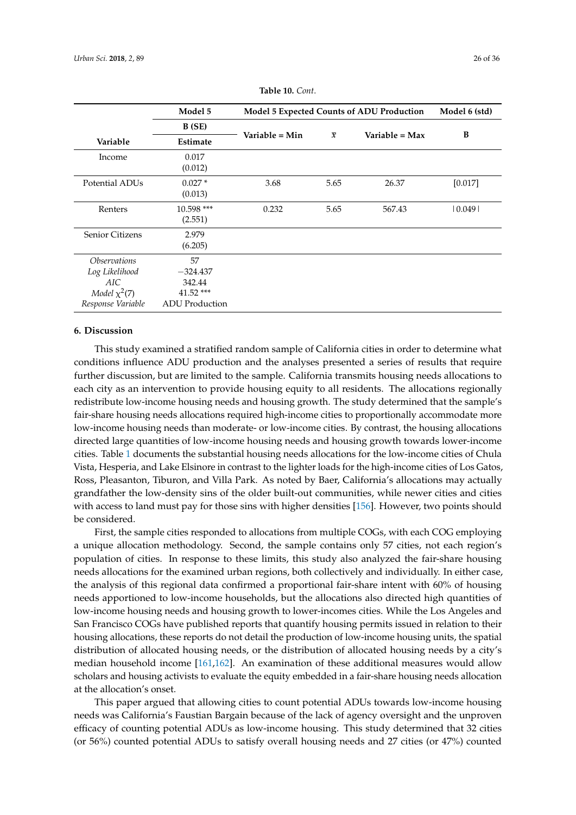| $26$ of $\degree$ |  |
|-------------------|--|
|                   |  |

<span id="page-26-0"></span>

|                                                                                                | Model 5                                                            | Model 5 Expected Counts of ADU Production |           |                  | Model 6 (std) |
|------------------------------------------------------------------------------------------------|--------------------------------------------------------------------|-------------------------------------------|-----------|------------------|---------------|
| Variable                                                                                       | B(SE)<br>Estimate                                                  | Variable = Min                            | $\bar{x}$ | Variable $=$ Max | B             |
| Income                                                                                         | 0.017<br>(0.012)                                                   |                                           |           |                  |               |
| Potential ADU <sub>s</sub>                                                                     | $0.027*$<br>(0.013)                                                | 3.68                                      | 5.65      | 26.37            | [0.017]       |
| Renters                                                                                        | 10.598 ***<br>(2.551)                                              | 0.232                                     | 5.65      | 567.43           | 0.049         |
| Senior Citizens                                                                                | 2.979<br>(6.205)                                                   |                                           |           |                  |               |
| <i><b>Observations</b></i><br>Log Likelihood<br>AIC<br>Model $\chi^2$ (7)<br>Response Variable | 57<br>$-324.437$<br>342.44<br>$41.52$ ***<br><b>ADU</b> Production |                                           |           |                  |               |

**Table 10.** *Cont*.

#### **6. Discussion**

This study examined a stratified random sample of California cities in order to determine what conditions influence ADU production and the analyses presented a series of results that require further discussion, but are limited to the sample. California transmits housing needs allocations to each city as an intervention to provide housing equity to all residents. The allocations regionally redistribute low-income housing needs and housing growth. The study determined that the sample's fair-share housing needs allocations required high-income cities to proportionally accommodate more low-income housing needs than moderate- or low-income cities. By contrast, the housing allocations directed large quantities of low-income housing needs and housing growth towards lower-income cities. Table [1](#page-16-0) documents the substantial housing needs allocations for the low-income cities of Chula Vista, Hesperia, and Lake Elsinore in contrast to the lighter loads for the high-income cities of Los Gatos, Ross, Pleasanton, Tiburon, and Villa Park. As noted by Baer, California's allocations may actually grandfather the low-density sins of the older built-out communities, while newer cities and cities with access to land must pay for those sins with higher densities [\[156\]](#page-35-19). However, two points should be considered.

First, the sample cities responded to allocations from multiple COGs, with each COG employing a unique allocation methodology. Second, the sample contains only 57 cities, not each region's population of cities. In response to these limits, this study also analyzed the fair-share housing needs allocations for the examined urban regions, both collectively and individually. In either case, the analysis of this regional data confirmed a proportional fair-share intent with 60% of housing needs apportioned to low-income households, but the allocations also directed high quantities of low-income housing needs and housing growth to lower-incomes cities. While the Los Angeles and San Francisco COGs have published reports that quantify housing permits issued in relation to their housing allocations, these reports do not detail the production of low-income housing units, the spatial distribution of allocated housing needs, or the distribution of allocated housing needs by a city's median household income [\[161,](#page-36-0)[162\]](#page-36-1). An examination of these additional measures would allow scholars and housing activists to evaluate the equity embedded in a fair-share housing needs allocation at the allocation's onset.

This paper argued that allowing cities to count potential ADUs towards low-income housing needs was California's Faustian Bargain because of the lack of agency oversight and the unproven efficacy of counting potential ADUs as low-income housing. This study determined that 32 cities (or 56%) counted potential ADUs to satisfy overall housing needs and 27 cities (or 47%) counted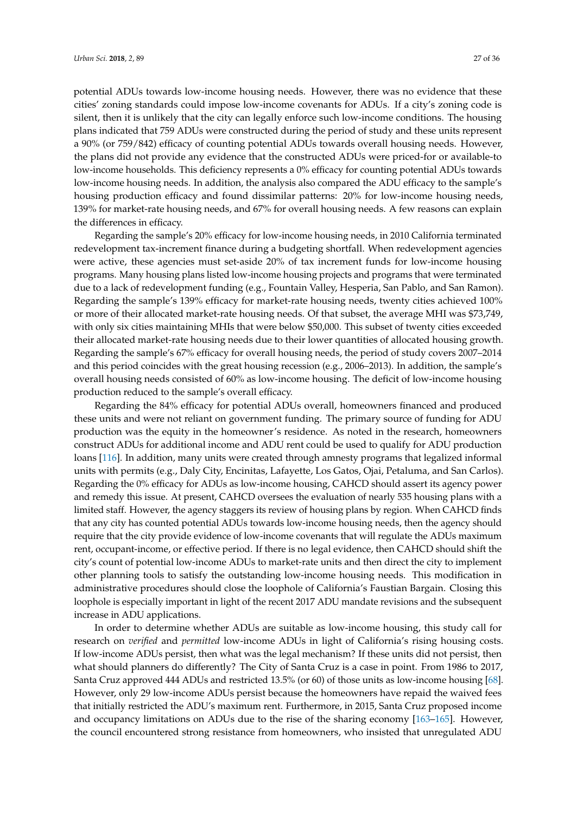potential ADUs towards low-income housing needs. However, there was no evidence that these cities' zoning standards could impose low-income covenants for ADUs. If a city's zoning code is silent, then it is unlikely that the city can legally enforce such low-income conditions. The housing plans indicated that 759 ADUs were constructed during the period of study and these units represent a 90% (or 759/842) efficacy of counting potential ADUs towards overall housing needs. However, the plans did not provide any evidence that the constructed ADUs were priced-for or available-to low-income households. This deficiency represents a 0% efficacy for counting potential ADUs towards

low-income housing needs. In addition, the analysis also compared the ADU efficacy to the sample's housing production efficacy and found dissimilar patterns: 20% for low-income housing needs, 139% for market-rate housing needs, and 67% for overall housing needs. A few reasons can explain the differences in efficacy.

Regarding the sample's 20% efficacy for low-income housing needs, in 2010 California terminated redevelopment tax-increment finance during a budgeting shortfall. When redevelopment agencies were active, these agencies must set-aside 20% of tax increment funds for low-income housing programs. Many housing plans listed low-income housing projects and programs that were terminated due to a lack of redevelopment funding (e.g., Fountain Valley, Hesperia, San Pablo, and San Ramon). Regarding the sample's 139% efficacy for market-rate housing needs, twenty cities achieved 100% or more of their allocated market-rate housing needs. Of that subset, the average MHI was \$73,749, with only six cities maintaining MHIs that were below \$50,000. This subset of twenty cities exceeded their allocated market-rate housing needs due to their lower quantities of allocated housing growth. Regarding the sample's 67% efficacy for overall housing needs, the period of study covers 2007–2014 and this period coincides with the great housing recession (e.g., 2006–2013). In addition, the sample's overall housing needs consisted of 60% as low-income housing. The deficit of low-income housing production reduced to the sample's overall efficacy.

Regarding the 84% efficacy for potential ADUs overall, homeowners financed and produced these units and were not reliant on government funding. The primary source of funding for ADU production was the equity in the homeowner's residence. As noted in the research, homeowners construct ADUs for additional income and ADU rent could be used to qualify for ADU production loans [\[116\]](#page-34-12). In addition, many units were created through amnesty programs that legalized informal units with permits (e.g., Daly City, Encinitas, Lafayette, Los Gatos, Ojai, Petaluma, and San Carlos). Regarding the 0% efficacy for ADUs as low-income housing, CAHCD should assert its agency power and remedy this issue. At present, CAHCD oversees the evaluation of nearly 535 housing plans with a limited staff. However, the agency staggers its review of housing plans by region. When CAHCD finds that any city has counted potential ADUs towards low-income housing needs, then the agency should require that the city provide evidence of low-income covenants that will regulate the ADUs maximum rent, occupant-income, or effective period. If there is no legal evidence, then CAHCD should shift the city's count of potential low-income ADUs to market-rate units and then direct the city to implement other planning tools to satisfy the outstanding low-income housing needs. This modification in administrative procedures should close the loophole of California's Faustian Bargain. Closing this loophole is especially important in light of the recent 2017 ADU mandate revisions and the subsequent increase in ADU applications.

In order to determine whether ADUs are suitable as low-income housing, this study call for research on *verified* and *permitted* low-income ADUs in light of California's rising housing costs. If low-income ADUs persist, then what was the legal mechanism? If these units did not persist, then what should planners do differently? The City of Santa Cruz is a case in point. From 1986 to 2017, Santa Cruz approved 444 ADUs and restricted 13.5% (or 60) of those units as low-income housing [\[68\]](#page-32-15). However, only 29 low-income ADUs persist because the homeowners have repaid the waived fees that initially restricted the ADU's maximum rent. Furthermore, in 2015, Santa Cruz proposed income and occupancy limitations on ADUs due to the rise of the sharing economy [\[163–](#page-36-2)[165\]](#page-36-3). However, the council encountered strong resistance from homeowners, who insisted that unregulated ADU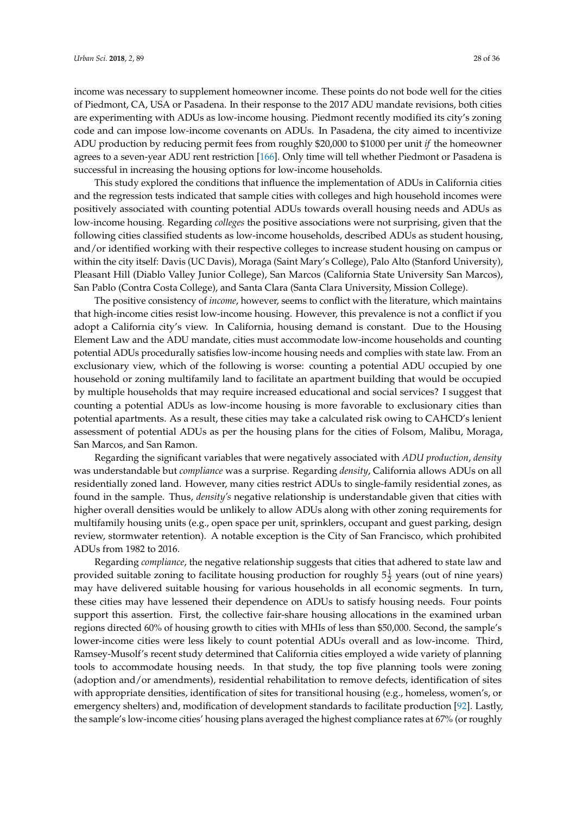income was necessary to supplement homeowner income. These points do not bode well for the cities of Piedmont, CA, USA or Pasadena. In their response to the 2017 ADU mandate revisions, both cities are experimenting with ADUs as low-income housing. Piedmont recently modified its city's zoning code and can impose low-income covenants on ADUs. In Pasadena, the city aimed to incentivize ADU production by reducing permit fees from roughly \$20,000 to \$1000 per unit *if* the homeowner agrees to a seven-year ADU rent restriction [\[166\]](#page-36-4). Only time will tell whether Piedmont or Pasadena is successful in increasing the housing options for low-income households.

This study explored the conditions that influence the implementation of ADUs in California cities and the regression tests indicated that sample cities with colleges and high household incomes were positively associated with counting potential ADUs towards overall housing needs and ADUs as low-income housing. Regarding *colleges* the positive associations were not surprising, given that the following cities classified students as low-income households, described ADUs as student housing, and/or identified working with their respective colleges to increase student housing on campus or within the city itself: Davis (UC Davis), Moraga (Saint Mary's College), Palo Alto (Stanford University), Pleasant Hill (Diablo Valley Junior College), San Marcos (California State University San Marcos), San Pablo (Contra Costa College), and Santa Clara (Santa Clara University, Mission College).

The positive consistency of *income*, however, seems to conflict with the literature, which maintains that high-income cities resist low-income housing. However, this prevalence is not a conflict if you adopt a California city's view. In California, housing demand is constant. Due to the Housing Element Law and the ADU mandate, cities must accommodate low-income households and counting potential ADUs procedurally satisfies low-income housing needs and complies with state law. From an exclusionary view, which of the following is worse: counting a potential ADU occupied by one household or zoning multifamily land to facilitate an apartment building that would be occupied by multiple households that may require increased educational and social services? I suggest that counting a potential ADUs as low-income housing is more favorable to exclusionary cities than potential apartments. As a result, these cities may take a calculated risk owing to CAHCD's lenient assessment of potential ADUs as per the housing plans for the cities of Folsom, Malibu, Moraga, San Marcos, and San Ramon.

Regarding the significant variables that were negatively associated with *ADU production*, *density* was understandable but *compliance* was a surprise. Regarding *density*, California allows ADUs on all residentially zoned land. However, many cities restrict ADUs to single-family residential zones, as found in the sample. Thus, *density's* negative relationship is understandable given that cities with higher overall densities would be unlikely to allow ADUs along with other zoning requirements for multifamily housing units (e.g., open space per unit, sprinklers, occupant and guest parking, design review, stormwater retention). A notable exception is the City of San Francisco, which prohibited ADUs from 1982 to 2016.

Regarding *compliance*, the negative relationship suggests that cities that adhered to state law and provided suitable zoning to facilitate housing production for roughly  $5\frac{1}{2}$  years (out of nine years) may have delivered suitable housing for various households in all economic segments. In turn, these cities may have lessened their dependence on ADUs to satisfy housing needs. Four points support this assertion. First, the collective fair-share housing allocations in the examined urban regions directed 60% of housing growth to cities with MHIs of less than \$50,000. Second, the sample's lower-income cities were less likely to count potential ADUs overall and as low-income. Third, Ramsey-Musolf's recent study determined that California cities employed a wide variety of planning tools to accommodate housing needs. In that study, the top five planning tools were zoning (adoption and/or amendments), residential rehabilitation to remove defects, identification of sites with appropriate densities, identification of sites for transitional housing (e.g., homeless, women's, or emergency shelters) and, modification of development standards to facilitate production [\[92\]](#page-33-13). Lastly, the sample's low-income cities' housing plans averaged the highest compliance rates at 67% (or roughly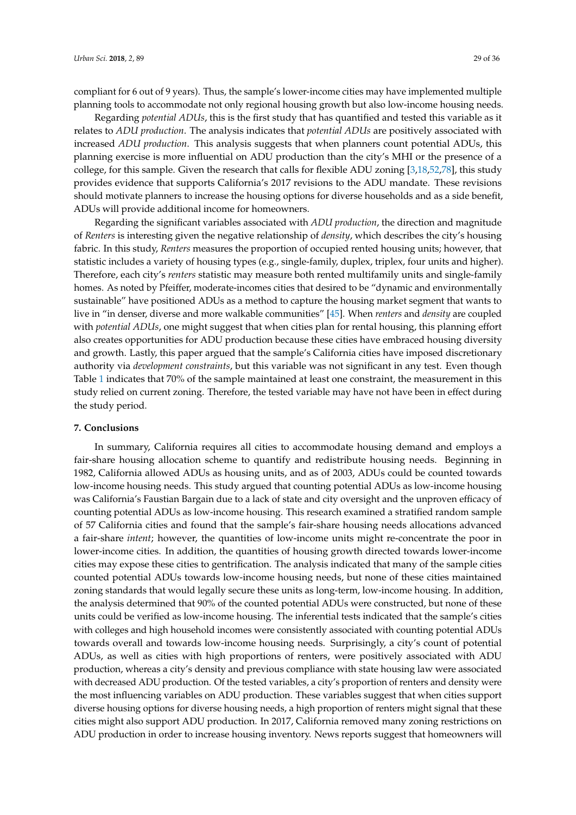compliant for 6 out of 9 years). Thus, the sample's lower-income cities may have implemented multiple planning tools to accommodate not only regional housing growth but also low-income housing needs.

Regarding *potential ADUs*, this is the first study that has quantified and tested this variable as it relates to *ADU production*. The analysis indicates that *potential ADUs* are positively associated with increased *ADU production*. This analysis suggests that when planners count potential ADUs, this planning exercise is more influential on ADU production than the city's MHI or the presence of a college, for this sample. Given the research that calls for flexible ADU zoning [\[3,](#page-30-2)[18,](#page-30-17)[52,](#page-32-25)[78\]](#page-33-0), this study provides evidence that supports California's 2017 revisions to the ADU mandate. These revisions should motivate planners to increase the housing options for diverse households and as a side benefit, ADUs will provide additional income for homeowners.

Regarding the significant variables associated with *ADU production*, the direction and magnitude of *Renters* is interesting given the negative relationship of *density*, which describes the city's housing fabric. In this study, *Renters* measures the proportion of occupied rented housing units; however, that statistic includes a variety of housing types (e.g., single-family, duplex, triplex, four units and higher). Therefore, each city's *renters* statistic may measure both rented multifamily units and single-family homes. As noted by Pfeiffer, moderate-incomes cities that desired to be "dynamic and environmentally sustainable" have positioned ADUs as a method to capture the housing market segment that wants to live in "in denser, diverse and more walkable communities" [\[45\]](#page-31-22). When *renters* and *density* are coupled with *potential ADUs*, one might suggest that when cities plan for rental housing, this planning effort also creates opportunities for ADU production because these cities have embraced housing diversity and growth. Lastly, this paper argued that the sample's California cities have imposed discretionary authority via *development constraints*, but this variable was not significant in any test. Even though Table [1](#page-16-0) indicates that 70% of the sample maintained at least one constraint, the measurement in this study relied on current zoning. Therefore, the tested variable may have not have been in effect during the study period.

#### **7. Conclusions**

In summary, California requires all cities to accommodate housing demand and employs a fair-share housing allocation scheme to quantify and redistribute housing needs. Beginning in 1982, California allowed ADUs as housing units, and as of 2003, ADUs could be counted towards low-income housing needs. This study argued that counting potential ADUs as low-income housing was California's Faustian Bargain due to a lack of state and city oversight and the unproven efficacy of counting potential ADUs as low-income housing. This research examined a stratified random sample of 57 California cities and found that the sample's fair-share housing needs allocations advanced a fair-share *intent*; however, the quantities of low-income units might re-concentrate the poor in lower-income cities. In addition, the quantities of housing growth directed towards lower-income cities may expose these cities to gentrification. The analysis indicated that many of the sample cities counted potential ADUs towards low-income housing needs, but none of these cities maintained zoning standards that would legally secure these units as long-term, low-income housing. In addition, the analysis determined that 90% of the counted potential ADUs were constructed, but none of these units could be verified as low-income housing. The inferential tests indicated that the sample's cities with colleges and high household incomes were consistently associated with counting potential ADUs towards overall and towards low-income housing needs. Surprisingly, a city's count of potential ADUs, as well as cities with high proportions of renters, were positively associated with ADU production, whereas a city's density and previous compliance with state housing law were associated with decreased ADU production. Of the tested variables, a city's proportion of renters and density were the most influencing variables on ADU production. These variables suggest that when cities support diverse housing options for diverse housing needs, a high proportion of renters might signal that these cities might also support ADU production. In 2017, California removed many zoning restrictions on ADU production in order to increase housing inventory. News reports suggest that homeowners will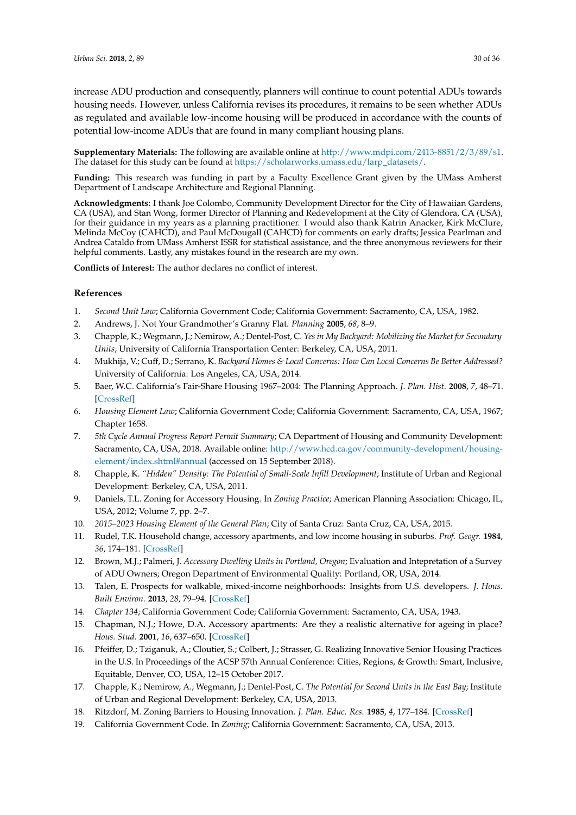increase ADU production and consequently, planners will continue to count potential ADUs towards housing needs. However, unless California revises its procedures, it remains to be seen whether ADUs as regulated and available low-income housing will be produced in accordance with the counts of potential low-income ADUs that are found in many compliant housing plans.

**Supplementary Materials:** The following are available online at [http://www.mdpi.com/2413-8851/2/3/89/s1.](http://www.mdpi.com/2413-8851/2/3/89/s1) The dataset for this study can be found at [https://scholarworks.umass.edu/larp\\_datasets/.](https://scholarworks.umass.edu/larp_datasets/)

**Funding:** This research was funding in part by a Faculty Excellence Grant given by the UMass Amherst Department of Landscape Architecture and Regional Planning.

**Acknowledgments:** I thank Joe Colombo, Community Development Director for the City of Hawaiian Gardens, CA (USA), and Stan Wong, former Director of Planning and Redevelopment at the City of Glendora, CA (USA), for their guidance in my years as a planning practitioner. I would also thank Katrin Anacker, Kirk McClure, Melinda McCoy (CAHCD), and Paul McDougall (CAHCD) for comments on early drafts; Jessica Pearlman and Andrea Cataldo from UMass Amherst ISSR for statistical assistance, and the three anonymous reviewers for their helpful comments. Lastly, any mistakes found in the research are my own.

**Conflicts of Interest:** The author declares no conflict of interest.

### **References**

- <span id="page-30-0"></span>1. *Second Unit Law*; California Government Code; California Government: Sacramento, CA, USA, 1982.
- <span id="page-30-1"></span>2. Andrews, J. Not Your Grandmother's Granny Flat. *Planning* **2005**, *68*, 8–9.
- <span id="page-30-2"></span>3. Chapple, K.; Wegmann, J.; Nemirow, A.; Dentel-Post, C. *Yes in My Backyard: Mobilizing the Market for Secondary Units*; University of California Transportation Center: Berkeley, CA, USA, 2011.
- <span id="page-30-3"></span>4. Mukhija, V.; Cuff, D.; Serrano, K. *Backyard Homes & Local Concerns: How Can Local Concerns Be Better Addressed?* University of California: Los Angeles, CA, USA, 2014.
- <span id="page-30-4"></span>5. Baer, W.C. California's Fair-Share Housing 1967–2004: The Planning Approach. *J. Plan. Hist.* **2008**, *7*, 48–71. [\[CrossRef\]](http://dx.doi.org/10.1177/1538513207307429)
- <span id="page-30-5"></span>6. *Housing Element Law*; California Government Code; California Government: Sacramento, CA, USA, 1967; Chapter 1658.
- <span id="page-30-6"></span>7. *5th Cycle Annual Progress Report Permit Summary*; CA Department of Housing and Community Development: Sacramento, CA, USA, 2018. Available online: [http://www.hcd.ca.gov/community-development/housing](http://www.hcd.ca.gov/community-development/housing-element/index.shtml#annual)[element/index.shtml#annual](http://www.hcd.ca.gov/community-development/housing-element/index.shtml#annual) (accessed on 15 September 2018).
- <span id="page-30-7"></span>8. Chapple, K. *"Hidden" Density: The Potential of Small-Scale Infill Development*; Institute of Urban and Regional Development: Berkeley, CA, USA, 2011.
- <span id="page-30-8"></span>9. Daniels, T.L. Zoning for Accessory Housing. In *Zoning Practice*; American Planning Association: Chicago, IL, USA, 2012; Volume 7, pp. 2–7.
- <span id="page-30-9"></span>10. *2015–2023 Housing Element of the General Plan*; City of Santa Cruz: Santa Cruz, CA, USA, 2015.
- <span id="page-30-10"></span>11. Rudel, T.K. Household change, accessory apartments, and low income housing in suburbs. *Prof. Geogr.* **1984**, *36*, 174–181. [\[CrossRef\]](http://dx.doi.org/10.1111/j.0033-0124.1984.00174.x)
- <span id="page-30-15"></span>12. Brown, M.J.; Palmeri, J. *Accessory Dwelling Units in Portland, Oregon*; Evaluation and Intepretation of a Survey of ADU Owners; Oregon Department of Environmental Quality: Portland, OR, USA, 2014.
- <span id="page-30-11"></span>13. Talen, E. Prospects for walkable, mixed-income neighborhoods: Insights from U.S. developers. *J. Hous. Built Environ.* **2013**, *28*, 79–94. [\[CrossRef\]](http://dx.doi.org/10.1007/s10901-012-9290-9)
- <span id="page-30-12"></span>14. *Chapter 134*; California Government Code; California Government: Sacramento, CA, USA, 1943.
- <span id="page-30-13"></span>15. Chapman, N.J.; Howe, D.A. Accessory apartments: Are they a realistic alternative for ageing in place? *Hous. Stud.* **2001**, *16*, 637–650. [\[CrossRef\]](http://dx.doi.org/10.1080/02673030120080099)
- <span id="page-30-14"></span>16. Pfeiffer, D.; Tziganuk, A.; Cloutier, S.; Colbert, J.; Strasser, G. Realizing Innovative Senior Housing Practices in the U.S. In Proceedings of the ACSP 57th Annual Conference: Cities, Regions, & Growth: Smart, Inclusive, Equitable, Denver, CO, USA, 12–15 October 2017.
- <span id="page-30-16"></span>17. Chapple, K.; Nemirow, A.; Wegmann, J.; Dentel-Post, C. *The Potential for Second Units in the East Bay*; Institute of Urban and Regional Development: Berkeley, CA, USA, 2013.
- <span id="page-30-17"></span>18. Ritzdorf, M. Zoning Barriers to Housing Innovation. *J. Plan. Educ. Res.* **1985**, *4*, 177–184. [\[CrossRef\]](http://dx.doi.org/10.1177/0739456X8500400307)
- <span id="page-30-18"></span>19. California Government Code. In *Zoning*; California Government: Sacramento, CA, USA, 2013.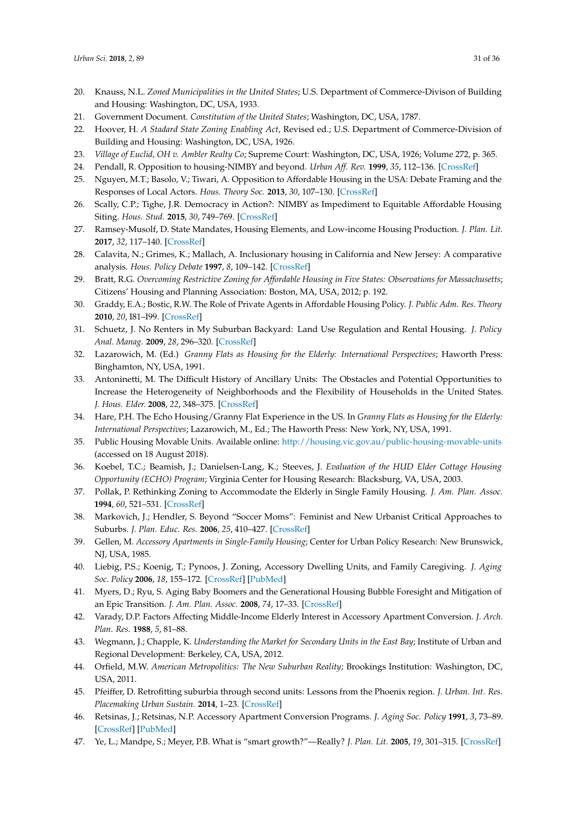- <span id="page-31-0"></span>20. Knauss, N.L. *Zoned Municipalities in the United States*; U.S. Department of Commerce-Divison of Building and Housing: Washington, DC, USA, 1933.
- <span id="page-31-1"></span>21. Government Document. *Constitution of the United States*; Washington, DC, USA, 1787.
- <span id="page-31-2"></span>22. Hoover, H. *A Stadard State Zoning Enabling Act*, Revised ed.; U.S. Department of Commerce-Division of Building and Housing: Washington, DC, USA, 1926.
- <span id="page-31-3"></span>23. *Village of Euclid, OH v. Ambler Realty Co*; Supreme Court: Washington, DC, USA, 1926; Volume 272, p. 365.
- <span id="page-31-5"></span><span id="page-31-4"></span>24. Pendall, R. Opposition to housing-NIMBY and beyond. *Urban Aff. Rev.* **1999**, *35*, 112–136. [\[CrossRef\]](http://dx.doi.org/10.1177/10780879922184310)
- 25. Nguyen, M.T.; Basolo, V.; Tiwari, A. Opposition to Affordable Housing in the USA: Debate Framing and the Responses of Local Actors. *Hous. Theory Soc.* **2013**, *30*, 107–130. [\[CrossRef\]](http://dx.doi.org/10.1080/14036096.2012.667833)
- <span id="page-31-6"></span>26. Scally, C.P.; Tighe, J.R. Democracy in Action?: NIMBY as Impediment to Equitable Affordable Housing Siting. *Hous. Stud.* **2015**, *30*, 749–769. [\[CrossRef\]](http://dx.doi.org/10.1080/02673037.2015.1013093)
- <span id="page-31-7"></span>27. Ramsey-Musolf, D. State Mandates, Housing Elements, and Low-income Housing Production. *J. Plan. Lit.* **2017**, *32*, 117–140. [\[CrossRef\]](http://dx.doi.org/10.1177/0885412217693569)
- 28. Calavita, N.; Grimes, K.; Mallach, A. Inclusionary housing in California and New Jersey: A comparative analysis. *Hous. Policy Debate* **1997**, *8*, 109–142. [\[CrossRef\]](http://dx.doi.org/10.1080/10511482.1997.9521249)
- 29. Bratt, R.G. *Overcoming Restrictive Zoning for Affordable Housing in Five States: Observations for Massachusetts*; Citizens' Housing and Planning Association: Boston, MA, USA, 2012; p. 192.
- 30. Graddy, E.A.; Bostic, R.W. The Role of Private Agents in Affordable Housing Policy. *J. Public Adm. Res. Theory* **2010**, *20*, I81–I99. [\[CrossRef\]](http://dx.doi.org/10.1093/jopart/mup036)
- <span id="page-31-8"></span>31. Schuetz, J. No Renters in My Suburban Backyard: Land Use Regulation and Rental Housing. *J. Policy Anal. Manag.* **2009**, *28*, 296–320. [\[CrossRef\]](http://dx.doi.org/10.1002/pam.20428)
- <span id="page-31-9"></span>32. Lazarowich, M. (Ed.) *Granny Flats as Housing for the Elderly: International Perspectives*; Haworth Press: Binghamton, NY, USA, 1991.
- <span id="page-31-10"></span>33. Antoninetti, M. The Difficult History of Ancillary Units: The Obstacles and Potential Opportunities to Increase the Heterogeneity of Neighborhoods and the Flexibility of Households in the United States. *J. Hous. Elder.* **2008**, *22*, 348–375. [\[CrossRef\]](http://dx.doi.org/10.1080/02763890802458320)
- <span id="page-31-11"></span>34. Hare, P.H. The Echo Housing/Granny Flat Experience in the US. In *Granny Flats as Housing for the Elderly: International Perspectives*; Lazarowich, M., Ed.; The Haworth Press: New York, NY, USA, 1991.
- <span id="page-31-12"></span>35. Public Housing Movable Units. Available online: <http://housing.vic.gov.au/public-housing-movable-units> (accessed on 18 August 2018).
- <span id="page-31-13"></span>36. Koebel, T.C.; Beamish, J.; Danielsen-Lang, K.; Steeves, J. *Evaluation of the HUD Elder Cottage Housing Opportunity (ECHO) Program*; Virginia Center for Housing Research: Blacksburg, VA, USA, 2003.
- <span id="page-31-14"></span>37. Pollak, P. Rethinking Zoning to Accommodate the Elderly in Single Family Housing. *J. Am. Plan. Assoc.* **1994**, *60*, 521–531. [\[CrossRef\]](http://dx.doi.org/10.1080/01944369408975608)
- <span id="page-31-15"></span>38. Markovich, J.; Hendler, S. Beyond "Soccer Moms": Feminist and New Urbanist Critical Approaches to Suburbs. *J. Plan. Educ. Res.* **2006**, *25*, 410–427. [\[CrossRef\]](http://dx.doi.org/10.1177/0739456X05280545)
- <span id="page-31-16"></span>39. Gellen, M. *Accessory Apartments in Single-Family Housing*; Center for Urban Policy Research: New Brunswick, NJ, USA, 1985.
- <span id="page-31-17"></span>40. Liebig, P.S.; Koenig, T.; Pynoos, J. Zoning, Accessory Dwelling Units, and Family Caregiving. *J. Aging Soc. Policy* **2006**, *18*, 155–172. [\[CrossRef\]](http://dx.doi.org/10.1300/J031v18n03_11) [\[PubMed\]](http://www.ncbi.nlm.nih.gov/pubmed/17135101)
- <span id="page-31-18"></span>41. Myers, D.; Ryu, S. Aging Baby Boomers and the Generational Housing Bubble Foresight and Mitigation of an Epic Transition. *J. Am. Plan. Assoc.* **2008**, *74*, 17–33. [\[CrossRef\]](http://dx.doi.org/10.1080/01944360701802006)
- <span id="page-31-19"></span>42. Varady, D.P. Factors Affecting Middle-Income Elderly Interest in Accessory Apartment Conversion. *J. Arch. Plan. Res.* **1988**, *5*, 81–88.
- <span id="page-31-20"></span>43. Wegmann, J.; Chapple, K. *Understanding the Market for Secondary Units in the East Bay*; Institute of Urban and Regional Development: Berkeley, CA, USA, 2012.
- <span id="page-31-21"></span>44. Orfield, M.W. *American Metropolitics: The New Suburban Reality*; Brookings Institution: Washington, DC, USA, 2011.
- <span id="page-31-22"></span>45. Pfeiffer, D. Retrofitting suburbia through second units: Lessons from the Phoenix region. *J. Urban. Int. Res. Placemaking Urban Sustain.* **2014**, 1–23. [\[CrossRef\]](http://dx.doi.org/10.1080/17549175.2014.908787)
- <span id="page-31-23"></span>46. Retsinas, J.; Retsinas, N.P. Accessory Apartment Conversion Programs. *J. Aging Soc. Policy* **1991**, *3*, 73–89. [\[CrossRef\]](http://dx.doi.org/10.1300/J031v03n01_07) [\[PubMed\]](http://www.ncbi.nlm.nih.gov/pubmed/10186784)
- <span id="page-31-24"></span>47. Ye, L.; Mandpe, S.; Meyer, P.B. What is "smart growth?"—Really? *J. Plan. Lit.* **2005**, *19*, 301–315. [\[CrossRef\]](http://dx.doi.org/10.1177/0885412204271668)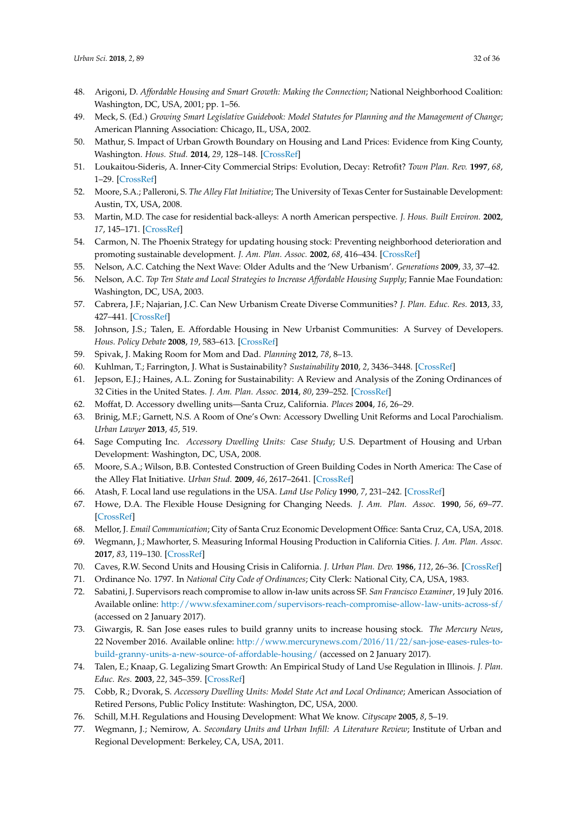- 48. Arigoni, D. *Affordable Housing and Smart Growth: Making the Connection*; National Neighborhood Coalition: Washington, DC, USA, 2001; pp. 1–56.
- <span id="page-32-0"></span>49. Meck, S. (Ed.) *Growing Smart Legislative Guidebook: Model Statutes for Planning and the Management of Change*; American Planning Association: Chicago, IL, USA, 2002.
- <span id="page-32-1"></span>50. Mathur, S. Impact of Urban Growth Boundary on Housing and Land Prices: Evidence from King County, Washington. *Hous. Stud.* **2014**, *29*, 128–148. [\[CrossRef\]](http://dx.doi.org/10.1080/02673037.2013.825695)
- <span id="page-32-2"></span>51. Loukaitou-Sideris, A. Inner-City Commercial Strips: Evolution, Decay: Retrofit? *Town Plan. Rev.* **1997**, *68*, 1–29. [\[CrossRef\]](http://dx.doi.org/10.3828/tpr.68.1.mt75861154007901)
- <span id="page-32-25"></span>52. Moore, S.A.; Palleroni, S. *The Alley Flat Initiative*; The University of Texas Center for Sustainable Development: Austin, TX, USA, 2008.
- <span id="page-32-3"></span>53. Martin, M.D. The case for residential back-alleys: A north American perspective. *J. Hous. Built Environ.* **2002**, *17*, 145–171. [\[CrossRef\]](http://dx.doi.org/10.1023/A:1015692824140)
- <span id="page-32-4"></span>54. Carmon, N. The Phoenix Strategy for updating housing stock: Preventing neighborhood deterioration and promoting sustainable development. *J. Am. Plan. Assoc.* **2002**, *68*, 416–434. [\[CrossRef\]](http://dx.doi.org/10.1080/01944360208976283)
- 55. Nelson, A.C. Catching the Next Wave: Older Adults and the 'New Urbanism'. *Generations* **2009**, *33*, 37–42.
- <span id="page-32-5"></span>56. Nelson, A.C. *Top Ten State and Local Strategies to Increase Affordable Housing Supply*; Fannie Mae Foundation: Washington, DC, USA, 2003.
- <span id="page-32-6"></span>57. Cabrera, J.F.; Najarian, J.C. Can New Urbanism Create Diverse Communities? *J. Plan. Educ. Res.* **2013**, *33*, 427–441. [\[CrossRef\]](http://dx.doi.org/10.1177/0739456X13500309)
- <span id="page-32-7"></span>58. Johnson, J.S.; Talen, E. Affordable Housing in New Urbanist Communities: A Survey of Developers. *Hous. Policy Debate* **2008**, *19*, 583–613. [\[CrossRef\]](http://dx.doi.org/10.1080/10511482.2008.9521648)
- <span id="page-32-8"></span>59. Spivak, J. Making Room for Mom and Dad. *Planning* **2012**, *78*, 8–13.
- <span id="page-32-9"></span>60. Kuhlman, T.; Farrington, J. What is Sustainability? *Sustainability* **2010**, *2*, 3436–3448. [\[CrossRef\]](http://dx.doi.org/10.3390/su2113436)
- <span id="page-32-10"></span>61. Jepson, E.J.; Haines, A.L. Zoning for Sustainability: A Review and Analysis of the Zoning Ordinances of 32 Cities in the United States. *J. Am. Plan. Assoc.* **2014**, *80*, 239–252. [\[CrossRef\]](http://dx.doi.org/10.1080/01944363.2014.981200)
- <span id="page-32-11"></span>62. Moffat, D. Accessory dwelling units—Santa Cruz, California. *Places* **2004**, *16*, 26–29.
- 63. Brinig, M.F.; Garnett, N.S. A Room of One's Own: Accessory Dwelling Unit Reforms and Local Parochialism. *Urban Lawyer* **2013**, *45*, 519.
- 64. Sage Computing Inc. *Accessory Dwelling Units: Case Study*; U.S. Department of Housing and Urban Development: Washington, DC, USA, 2008.
- <span id="page-32-12"></span>65. Moore, S.A.; Wilson, B.B. Contested Construction of Green Building Codes in North America: The Case of the Alley Flat Initiative. *Urban Stud.* **2009**, *46*, 2617–2641. [\[CrossRef\]](http://dx.doi.org/10.1177/0042098009346327)
- <span id="page-32-13"></span>66. Atash, F. Local land use regulations in the USA. *Land Use Policy* **1990**, *7*, 231–242. [\[CrossRef\]](http://dx.doi.org/10.1016/0264-8377(90)90037-Y)
- <span id="page-32-14"></span>67. Howe, D.A. The Flexible House Designing for Changing Needs. *J. Am. Plan. Assoc.* **1990**, *56*, 69–77. [\[CrossRef\]](http://dx.doi.org/10.1080/01944369008975746)
- <span id="page-32-15"></span>68. Mellor, J. *Email Communication*; City of Santa Cruz Economic Development Office: Santa Cruz, CA, USA, 2018.
- <span id="page-32-16"></span>69. Wegmann, J.; Mawhorter, S. Measuring Informal Housing Production in California Cities. *J. Am. Plan. Assoc.* **2017**, *83*, 119–130. [\[CrossRef\]](http://dx.doi.org/10.1080/01944363.2017.1288162)
- <span id="page-32-17"></span>70. Caves, R.W. Second Units and Housing Crisis in California. *J. Urban Plan. Dev.* **1986**, *112*, 26–36. [\[CrossRef\]](http://dx.doi.org/10.1061/(ASCE)0733-9488(1986)112:1(26))
- <span id="page-32-18"></span>71. Ordinance No. 1797. In *National City Code of Ordinances*; City Clerk: National City, CA, USA, 1983.
- <span id="page-32-19"></span>72. Sabatini, J. Supervisors reach compromise to allow in-law units across SF. *San Francisco Examiner*, 19 July 2016. Available online: <http://www.sfexaminer.com/supervisors-reach-compromise-allow-law-units-across-sf/> (accessed on 2 January 2017).
- <span id="page-32-20"></span>73. Giwargis, R. San Jose eases rules to build granny units to increase housing stock. *The Mercury News*, 22 November 2016. Available online: [http://www.mercurynews.com/2016/11/22/san-jose-eases-rules-to](http://www.mercurynews.com/2016/11/22/san-jose-eases-rules-to-build-granny-units-a-new-source-of-affordable-housing/)[build-granny-units-a-new-source-of-affordable-housing/](http://www.mercurynews.com/2016/11/22/san-jose-eases-rules-to-build-granny-units-a-new-source-of-affordable-housing/) (accessed on 2 January 2017).
- <span id="page-32-21"></span>74. Talen, E.; Knaap, G. Legalizing Smart Growth: An Empirical Study of Land Use Regulation in Illinois. *J. Plan. Educ. Res.* **2003**, *22*, 345–359. [\[CrossRef\]](http://dx.doi.org/10.1177/0739456X03022004002)
- <span id="page-32-22"></span>75. Cobb, R.; Dvorak, S. *Accessory Dwelling Units: Model State Act and Local Ordinance*; American Association of Retired Persons, Public Policy Institute: Washington, DC, USA, 2000.
- <span id="page-32-23"></span>76. Schill, M.H. Regulations and Housing Development: What We know. *Cityscape* **2005**, *8*, 5–19.
- <span id="page-32-24"></span>77. Wegmann, J.; Nemirow, A. *Secondary Units and Urban Infill: A Literature Review*; Institute of Urban and Regional Development: Berkeley, CA, USA, 2011.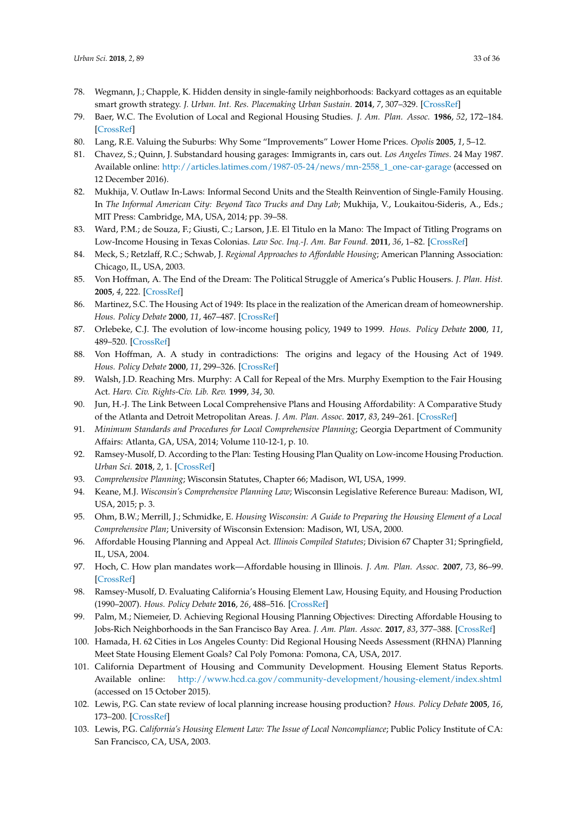- <span id="page-33-0"></span>78. Wegmann, J.; Chapple, K. Hidden density in single-family neighborhoods: Backyard cottages as an equitable smart growth strategy. *J. Urban. Int. Res. Placemaking Urban Sustain.* **2014**, *7*, 307–329. [\[CrossRef\]](http://dx.doi.org/10.1080/17549175.2013.879453)
- <span id="page-33-1"></span>79. Baer, W.C. The Evolution of Local and Regional Housing Studies. *J. Am. Plan. Assoc.* **1986**, *52*, 172–184. [\[CrossRef\]](http://dx.doi.org/10.1080/01944368608976616)
- <span id="page-33-2"></span>80. Lang, R.E. Valuing the Suburbs: Why Some "Improvements" Lower Home Prices. *Opolis* **2005**, *1*, 5–12.
- <span id="page-33-3"></span>81. Chavez, S.; Quinn, J. Substandard housing garages: Immigrants in, cars out. *Los Angeles Times*. 24 May 1987. Available online: [http://articles.latimes.com/1987-05-24/news/mn-2558\\_1\\_one-car-garage](http://articles.latimes.com/1987-05-24/news/mn-2558_1_one-car-garage) (accessed on 12 December 2016).
- <span id="page-33-4"></span>82. Mukhija, V. Outlaw In-Laws: Informal Second Units and the Stealth Reinvention of Single-Family Housing. In *The Informal American City: Beyond Taco Trucks and Day Lab*; Mukhija, V., Loukaitou-Sideris, A., Eds.; MIT Press: Cambridge, MA, USA, 2014; pp. 39–58.
- <span id="page-33-5"></span>83. Ward, P.M.; de Souza, F.; Giusti, C.; Larson, J.E. El Titulo en la Mano: The Impact of Titling Programs on Low-Income Housing in Texas Colonias. *Law Soc. Inq.-J. Am. Bar Found.* **2011**, *36*, 1–82. [\[CrossRef\]](http://dx.doi.org/10.1111/j.1747-4469.2010.01223.x)
- <span id="page-33-6"></span>84. Meck, S.; Retzlaff, R.C.; Schwab, J. *Regional Approaches to Affordable Housing*; American Planning Association: Chicago, IL, USA, 2003.
- <span id="page-33-7"></span>85. Von Hoffman, A. The End of the Dream: The Political Struggle of America's Public Housers. *J. Plan. Hist.* **2005**, *4*, 222. [\[CrossRef\]](http://dx.doi.org/10.1177/1538513205278449)
- <span id="page-33-8"></span>86. Martinez, S.C. The Housing Act of 1949: Its place in the realization of the American dream of homeownership. *Hous. Policy Debate* **2000**, *11*, 467–487. [\[CrossRef\]](http://dx.doi.org/10.1080/10511482.2000.9521374)
- 87. Orlebeke, C.J. The evolution of low-income housing policy, 1949 to 1999. *Hous. Policy Debate* **2000**, *11*, 489–520. [\[CrossRef\]](http://dx.doi.org/10.1080/10511482.2000.9521375)
- <span id="page-33-9"></span>88. Von Hoffman, A. A study in contradictions: The origins and legacy of the Housing Act of 1949. *Hous. Policy Debate* **2000**, *11*, 299–326. [\[CrossRef\]](http://dx.doi.org/10.1080/10511482.2000.9521370)
- <span id="page-33-10"></span>89. Walsh, J.D. Reaching Mrs. Murphy: A Call for Repeal of the Mrs. Murphy Exemption to the Fair Housing Act. *Harv. Civ. Rights-Civ. Lib. Rev.* **1999**, *34*, 30.
- <span id="page-33-11"></span>90. Jun, H.-J. The Link Between Local Comprehensive Plans and Housing Affordability: A Comparative Study of the Atlanta and Detroit Metropolitan Areas. *J. Am. Plan. Assoc.* **2017**, *83*, 249–261. [\[CrossRef\]](http://dx.doi.org/10.1080/01944363.2017.1321496)
- <span id="page-33-12"></span>91. *Minimum Standards and Procedures for Local Comprehensive Planning*; Georgia Department of Community Affairs: Atlanta, GA, USA, 2014; Volume 110-12-1, p. 10.
- <span id="page-33-13"></span>92. Ramsey-Musolf, D. According to the Plan: Testing Housing Plan Quality on Low-income Housing Production. *Urban Sci.* **2018**, *2*, 1. [\[CrossRef\]](http://dx.doi.org/10.3390/urbansci2010001)
- <span id="page-33-14"></span>93. *Comprehensive Planning*; Wisconsin Statutes, Chapter 66; Madison, WI, USA, 1999.
- <span id="page-33-15"></span>94. Keane, M.J. *Wisconsin's Comprehensive Planning Law*; Wisconsin Legislative Reference Bureau: Madison, WI, USA, 2015; p. 3.
- <span id="page-33-16"></span>95. Ohm, B.W.; Merrill, J.; Schmidke, E. *Housing Wisconsin: A Guide to Preparing the Housing Element of a Local Comprehensive Plan*; University of Wisconsin Extension: Madison, WI, USA, 2000.
- <span id="page-33-17"></span>96. Affordable Housing Planning and Appeal Act. *Illinois Compiled Statutes*; Division 67 Chapter 31; Springfield, IL, USA, 2004.
- <span id="page-33-18"></span>97. Hoch, C. How plan mandates work—Affordable housing in Illinois. *J. Am. Plan. Assoc.* **2007**, *73*, 86–99. [\[CrossRef\]](http://dx.doi.org/10.1080/01944360708976138)
- <span id="page-33-19"></span>98. Ramsey-Musolf, D. Evaluating California's Housing Element Law, Housing Equity, and Housing Production (1990–2007). *Hous. Policy Debate* **2016**, *26*, 488–516. [\[CrossRef\]](http://dx.doi.org/10.1080/10511482.2015.1128960)
- <span id="page-33-20"></span>99. Palm, M.; Niemeier, D. Achieving Regional Housing Planning Objectives: Directing Affordable Housing to Jobs-Rich Neighborhoods in the San Francisco Bay Area. *J. Am. Plan. Assoc.* **2017**, *83*, 377–388. [\[CrossRef\]](http://dx.doi.org/10.1080/01944363.2017.1368410)
- <span id="page-33-21"></span>100. Hamada, H. 62 Cities in Los Angeles County: Did Regional Housing Needs Assessment (RHNA) Planning Meet State Housing Element Goals? Cal Poly Pomona: Pomona, CA, USA, 2017.
- <span id="page-33-22"></span>101. California Department of Housing and Community Development. Housing Element Status Reports. Available online: <http://www.hcd.ca.gov/community-development/housing-element/index.shtml> (accessed on 15 October 2015).
- <span id="page-33-23"></span>102. Lewis, P.G. Can state review of local planning increase housing production? *Hous. Policy Debate* **2005**, *16*, 173–200. [\[CrossRef\]](http://dx.doi.org/10.1080/10511482.2005.9521539)
- <span id="page-33-24"></span>103. Lewis, P.G. *California's Housing Element Law: The Issue of Local Noncompliance*; Public Policy Institute of CA: San Francisco, CA, USA, 2003.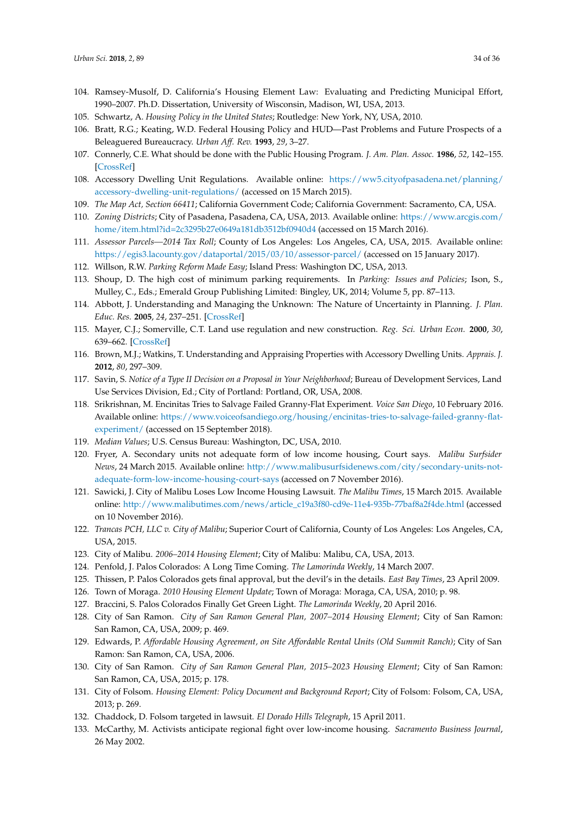- <span id="page-34-0"></span>104. Ramsey-Musolf, D. California's Housing Element Law: Evaluating and Predicting Municipal Effort, 1990–2007. Ph.D. Dissertation, University of Wisconsin, Madison, WI, USA, 2013.
- <span id="page-34-1"></span>105. Schwartz, A. *Housing Policy in the United States*; Routledge: New York, NY, USA, 2010.
- <span id="page-34-2"></span>106. Bratt, R.G.; Keating, W.D. Federal Housing Policy and HUD—Past Problems and Future Prospects of a Beleaguered Bureaucracy. *Urban Aff. Rev.* **1993**, *29*, 3–27.
- <span id="page-34-3"></span>107. Connerly, C.E. What should be done with the Public Housing Program. *J. Am. Plan. Assoc.* **1986**, *52*, 142–155. [\[CrossRef\]](http://dx.doi.org/10.1080/01944368608976614)
- <span id="page-34-4"></span>108. Accessory Dwelling Unit Regulations. Available online: [https://ww5.cityofpasadena.net/planning/](https://ww5.cityofpasadena.net/planning/accessory-dwelling-unit-regulations/) [accessory-dwelling-unit-regulations/](https://ww5.cityofpasadena.net/planning/accessory-dwelling-unit-regulations/) (accessed on 15 March 2015).
- <span id="page-34-5"></span>109. *The Map Act, Section 66411*; California Government Code; California Government: Sacramento, CA, USA.
- <span id="page-34-6"></span>110. *Zoning Districts*; City of Pasadena, Pasadena, CA, USA, 2013. Available online: [https://www.arcgis.com/](https://www.arcgis.com/home/item.html?id=2c3295b27e0649a181db3512bf0940d4) [home/item.html?id=2c3295b27e0649a181db3512bf0940d4](https://www.arcgis.com/home/item.html?id=2c3295b27e0649a181db3512bf0940d4) (accessed on 15 March 2016).
- <span id="page-34-7"></span>111. *Assessor Parcels—2014 Tax Roll*; County of Los Angeles: Los Angeles, CA, USA, 2015. Available online: <https://egis3.lacounty.gov/dataportal/2015/03/10/assessor-parcel/> (accessed on 15 January 2017).
- <span id="page-34-8"></span>112. Willson, R.W. *Parking Reform Made Easy*; Island Press: Washington DC, USA, 2013.
- <span id="page-34-9"></span>113. Shoup, D. The high cost of minimum parking requirements. In *Parking: Issues and Policies*; Ison, S., Mulley, C., Eds.; Emerald Group Publishing Limited: Bingley, UK, 2014; Volume 5, pp. 87–113.
- <span id="page-34-10"></span>114. Abbott, J. Understanding and Managing the Unknown: The Nature of Uncertainty in Planning. *J. Plan. Educ. Res.* **2005**, *24*, 237–251. [\[CrossRef\]](http://dx.doi.org/10.1177/0739456X04267710)
- <span id="page-34-11"></span>115. Mayer, C.J.; Somerville, C.T. Land use regulation and new construction. *Reg. Sci. Urban Econ.* **2000**, *30*, 639–662. [\[CrossRef\]](http://dx.doi.org/10.1016/S0166-0462(00)00055-7)
- <span id="page-34-12"></span>116. Brown, M.J.; Watkins, T. Understanding and Appraising Properties with Accessory Dwelling Units. *Apprais. J.* **2012**, *80*, 297–309.
- <span id="page-34-13"></span>117. Savin, S. *Notice of a Type II Decision on a Proposal in Your Neighborhood*; Bureau of Development Services, Land Use Services Division, Ed.; City of Portland: Portland, OR, USA, 2008.
- <span id="page-34-14"></span>118. Srikrishnan, M. Encinitas Tries to Salvage Failed Granny-Flat Experiment. *Voice San Diego*, 10 February 2016. Available online: [https://www.voiceofsandiego.org/housing/encinitas-tries-to-salvage-failed-granny-flat](https://www.voiceofsandiego.org/housing/encinitas-tries-to-salvage-failed-granny-flat-experiment/)[experiment/](https://www.voiceofsandiego.org/housing/encinitas-tries-to-salvage-failed-granny-flat-experiment/) (accessed on 15 September 2018).
- <span id="page-34-16"></span><span id="page-34-15"></span>119. *Median Values*; U.S. Census Bureau: Washington, DC, USA, 2010.
- 120. Fryer, A. Secondary units not adequate form of low income housing, Court says. *Malibu Surfsider News*, 24 March 2015. Available online: [http://www.malibusurfsidenews.com/city/secondary-units-not](http://www.malibusurfsidenews.com/city/secondary-units-not-adequate-form-low-income-housing-court-says)[adequate-form-low-income-housing-court-says](http://www.malibusurfsidenews.com/city/secondary-units-not-adequate-form-low-income-housing-court-says) (accessed on 7 November 2016).
- <span id="page-34-17"></span>121. Sawicki, J. City of Malibu Loses Low Income Housing Lawsuit. *The Malibu Times*, 15 March 2015. Available online: [http://www.malibutimes.com/news/article\\_c19a3f80-cd9e-11e4-935b-77baf8a2f4de.html](http://www.malibutimes.com/news/article_c19a3f80-cd9e-11e4-935b-77baf8a2f4de.html) (accessed on 10 November 2016).
- <span id="page-34-18"></span>122. *Trancas PCH, LLC v. City of Malibu*; Superior Court of California, County of Los Angeles: Los Angeles, CA, USA, 2015.
- <span id="page-34-19"></span>123. City of Malibu. *2006–2014 Housing Element*; City of Malibu: Malibu, CA, USA, 2013.
- <span id="page-34-20"></span>124. Penfold, J. Palos Colorados: A Long Time Coming. *The Lamorinda Weekly*, 14 March 2007.
- <span id="page-34-21"></span>125. Thissen, P. Palos Colorados gets final approval, but the devil's in the details. *East Bay Times*, 23 April 2009.
- <span id="page-34-22"></span>126. Town of Moraga. *2010 Housing Element Update*; Town of Moraga: Moraga, CA, USA, 2010; p. 98.
- <span id="page-34-23"></span>127. Braccini, S. Palos Colorados Finally Get Green Light. *The Lamorinda Weekly*, 20 April 2016.
- <span id="page-34-24"></span>128. City of San Ramon. *City of San Ramon General Plan, 2007–2014 Housing Element*; City of San Ramon: San Ramon, CA, USA, 2009; p. 469.
- <span id="page-34-25"></span>129. Edwards, P. *Affordable Housing Agreement, on Site Affordable Rental Units (Old Summit Ranch)*; City of San Ramon: San Ramon, CA, USA, 2006.
- <span id="page-34-26"></span>130. City of San Ramon. *City of San Ramon General Plan, 2015–2023 Housing Element*; City of San Ramon: San Ramon, CA, USA, 2015; p. 178.
- <span id="page-34-27"></span>131. City of Folsom. *Housing Element: Policy Document and Background Report*; City of Folsom: Folsom, CA, USA, 2013; p. 269.
- <span id="page-34-28"></span>132. Chaddock, D. Folsom targeted in lawsuit. *El Dorado Hills Telegraph*, 15 April 2011.
- <span id="page-34-29"></span>133. McCarthy, M. Activists anticipate regional fight over low-income housing. *Sacramento Business Journal*, 26 May 2002.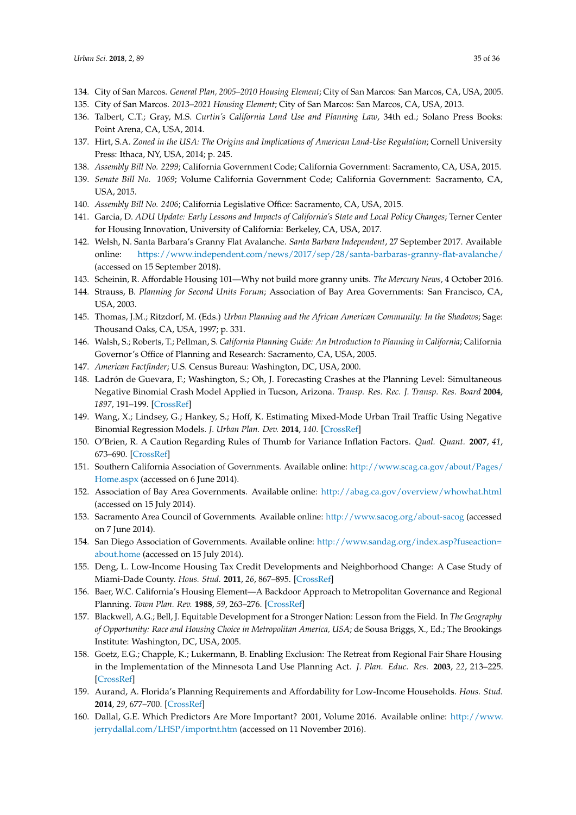- <span id="page-35-0"></span>134. City of San Marcos. *General Plan, 2005–2010 Housing Element*; City of San Marcos: San Marcos, CA, USA, 2005.
- <span id="page-35-1"></span>135. City of San Marcos. *2013–2021 Housing Element*; City of San Marcos: San Marcos, CA, USA, 2013.
- <span id="page-35-2"></span>136. Talbert, C.T.; Gray, M.S. *Curtin's California Land Use and Planning Law*, 34th ed.; Solano Press Books: Point Arena, CA, USA, 2014.
- <span id="page-35-3"></span>137. Hirt, S.A. *Zoned in the USA: The Origins and Implications of American Land-Use Regulation*; Cornell University Press: Ithaca, NY, USA, 2014; p. 245.
- <span id="page-35-4"></span>138. *Assembly Bill No. 2299*; California Government Code; California Government: Sacramento, CA, USA, 2015.
- 139. *Senate Bill No. 1069*; Volume California Government Code; California Government: Sacramento, CA, USA, 2015.
- <span id="page-35-5"></span>140. *Assembly Bill No. 2406*; California Legislative Office: Sacramento, CA, USA, 2015.
- <span id="page-35-6"></span>141. Garcia, D. *ADU Update: Early Lessons and Impacts of California's State and Local Policy Changes*; Terner Center for Housing Innovation, University of California: Berkeley, CA, USA, 2017.
- <span id="page-35-7"></span>142. Welsh, N. Santa Barbara's Granny Flat Avalanche. *Santa Barbara Independent*, 27 September 2017. Available online: <https://www.independent.com/news/2017/sep/28/santa-barbaras-granny-flat-avalanche/> (accessed on 15 September 2018).
- <span id="page-35-8"></span>143. Scheinin, R. Affordable Housing 101—Why not build more granny units. *The Mercury News*, 4 October 2016.
- <span id="page-35-9"></span>144. Strauss, B. *Planning for Second Units Forum*; Association of Bay Area Governments: San Francisco, CA, USA, 2003.
- <span id="page-35-10"></span>145. Thomas, J.M.; Ritzdorf, M. (Eds.) *Urban Planning and the African American Community: In the Shadows*; Sage: Thousand Oaks, CA, USA, 1997; p. 331.
- <span id="page-35-11"></span>146. Walsh, S.; Roberts, T.; Pellman, S. *California Planning Guide: An Introduction to Planning in California*; California Governor's Office of Planning and Research: Sacramento, CA, USA, 2005.
- <span id="page-35-12"></span>147. *American Factfinder*; U.S. Census Bureau: Washington, DC, USA, 2000.
- <span id="page-35-13"></span>148. Ladrón de Guevara, F.; Washington, S.; Oh, J. Forecasting Crashes at the Planning Level: Simultaneous Negative Binomial Crash Model Applied in Tucson, Arizona. *Transp. Res. Rec. J. Transp. Res. Board* **2004**, *1897*, 191–199. [\[CrossRef\]](http://dx.doi.org/10.3141/1897-25)
- <span id="page-35-14"></span>149. Wang, X.; Lindsey, G.; Hankey, S.; Hoff, K. Estimating Mixed-Mode Urban Trail Traffic Using Negative Binomial Regression Models. *J. Urban Plan. Dev.* **2014**, *140*. [\[CrossRef\]](http://dx.doi.org/10.1061/(ASCE)UP.1943-5444.0000157)
- <span id="page-35-15"></span>150. O'Brien, R. A Caution Regarding Rules of Thumb for Variance Inflation Factors. *Qual. Quant.* **2007**, *41*, 673–690. [\[CrossRef\]](http://dx.doi.org/10.1007/s11135-006-9018-6)
- <span id="page-35-16"></span>151. Southern California Association of Governments. Available online: [http://www.scag.ca.gov/about/Pages/](http://www.scag.ca.gov/about/Pages/Home.aspx) [Home.aspx](http://www.scag.ca.gov/about/Pages/Home.aspx) (accessed on 6 June 2014).
- 152. Association of Bay Area Governments. Available online: <http://abag.ca.gov/overview/whowhat.html> (accessed on 15 July 2014).
- 153. Sacramento Area Council of Governments. Available online: <http://www.sacog.org/about-sacog> (accessed on 7 June 2014).
- <span id="page-35-17"></span>154. San Diego Association of Governments. Available online: [http://www.sandag.org/index.asp?fuseaction=](http://www.sandag.org/index.asp?fuseaction=about.home) [about.home](http://www.sandag.org/index.asp?fuseaction=about.home) (accessed on 15 July 2014).
- <span id="page-35-18"></span>155. Deng, L. Low-Income Housing Tax Credit Developments and Neighborhood Change: A Case Study of Miami-Dade County. *Hous. Stud.* **2011**, *26*, 867–895. [\[CrossRef\]](http://dx.doi.org/10.1080/02673037.2011.593130)
- <span id="page-35-19"></span>156. Baer, W.C. California's Housing Element—A Backdoor Approach to Metropolitan Governance and Regional Planning. *Town Plan. Rev.* **1988**, *59*, 263–276. [\[CrossRef\]](http://dx.doi.org/10.3828/tpr.59.3.m8131531030n841r)
- <span id="page-35-20"></span>157. Blackwell, A.G.; Bell, J. Equitable Development for a Stronger Nation: Lesson from the Field. In *The Geography of Opportunity: Race and Housing Choice in Metropolitan America, USA*; de Sousa Briggs, X., Ed.; The Brookings Institute: Washington, DC, USA, 2005.
- <span id="page-35-21"></span>158. Goetz, E.G.; Chapple, K.; Lukermann, B. Enabling Exclusion: The Retreat from Regional Fair Share Housing in the Implementation of the Minnesota Land Use Planning Act. *J. Plan. Educ. Res.* **2003**, *22*, 213–225. [\[CrossRef\]](http://dx.doi.org/10.1177/0739456X02250304)
- <span id="page-35-22"></span>159. Aurand, A. Florida's Planning Requirements and Affordability for Low-Income Households. *Hous. Stud.* **2014**, *29*, 677–700. [\[CrossRef\]](http://dx.doi.org/10.1080/02673037.2014.882497)
- <span id="page-35-23"></span>160. Dallal, G.E. Which Predictors Are More Important? 2001, Volume 2016. Available online: [http://www.](http://www.jerrydallal.com/LHSP/importnt.htm) [jerrydallal.com/LHSP/importnt.htm](http://www.jerrydallal.com/LHSP/importnt.htm) (accessed on 11 November 2016).